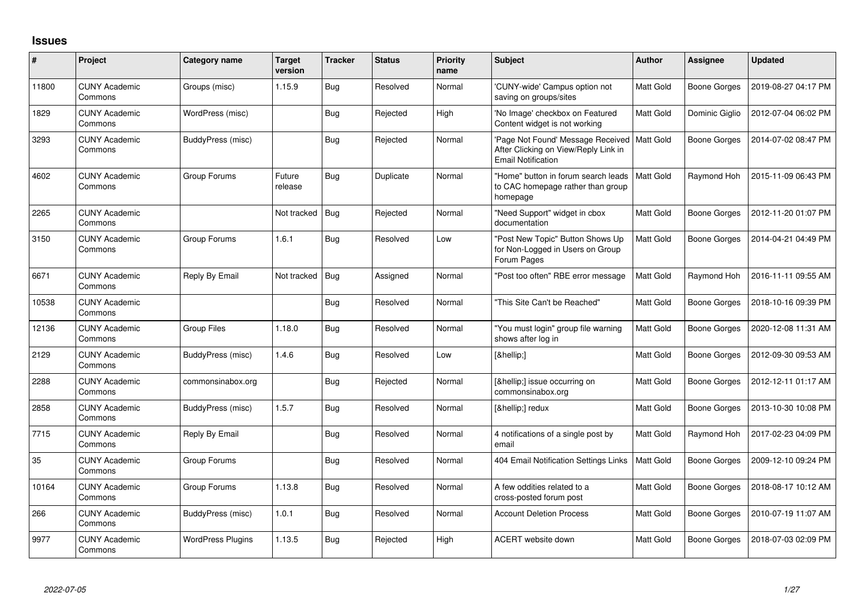## **Issues**

| #     | Project                         | Category name            | Target<br>version | <b>Tracker</b> | <b>Status</b> | <b>Priority</b><br>name | <b>Subject</b>                                                                                                     | <b>Author</b>    | <b>Assignee</b>     | <b>Updated</b>      |
|-------|---------------------------------|--------------------------|-------------------|----------------|---------------|-------------------------|--------------------------------------------------------------------------------------------------------------------|------------------|---------------------|---------------------|
| 11800 | <b>CUNY Academic</b><br>Commons | Groups (misc)            | 1.15.9            | <b>Bug</b>     | Resolved      | Normal                  | 'CUNY-wide' Campus option not<br>saving on groups/sites                                                            | Matt Gold        | <b>Boone Gorges</b> | 2019-08-27 04:17 PM |
| 1829  | <b>CUNY Academic</b><br>Commons | WordPress (misc)         |                   | Bug            | Rejected      | High                    | 'No Image' checkbox on Featured<br>Content widget is not working                                                   | Matt Gold        | Dominic Giglio      | 2012-07-04 06:02 PM |
| 3293  | <b>CUNY Academic</b><br>Commons | BuddyPress (misc)        |                   | <b>Bug</b>     | Rejected      | Normal                  | 'Page Not Found' Message Received   Matt Gold<br>After Clicking on View/Reply Link in<br><b>Email Notification</b> |                  | <b>Boone Gorges</b> | 2014-07-02 08:47 PM |
| 4602  | <b>CUNY Academic</b><br>Commons | Group Forums             | Future<br>release | <b>Bug</b>     | Duplicate     | Normal                  | "Home" button in forum search leads<br>to CAC homepage rather than group<br>homepage                               | Matt Gold        | Raymond Hoh         | 2015-11-09 06:43 PM |
| 2265  | <b>CUNY Academic</b><br>Commons |                          | Not tracked       | Bug            | Rejected      | Normal                  | "Need Support" widget in cbox<br>documentation                                                                     | Matt Gold        | <b>Boone Gorges</b> | 2012-11-20 01:07 PM |
| 3150  | <b>CUNY Academic</b><br>Commons | Group Forums             | 1.6.1             | Bug            | Resolved      | Low                     | "Post New Topic" Button Shows Up<br>for Non-Logged in Users on Group<br>Forum Pages                                | Matt Gold        | <b>Boone Gorges</b> | 2014-04-21 04:49 PM |
| 6671  | <b>CUNY Academic</b><br>Commons | Reply By Email           | Not tracked       | Bug            | Assigned      | Normal                  | "Post too often" RBE error message                                                                                 | Matt Gold        | Raymond Hoh         | 2016-11-11 09:55 AM |
| 10538 | <b>CUNY Academic</b><br>Commons |                          |                   | Bug            | Resolved      | Normal                  | "This Site Can't be Reached"                                                                                       | <b>Matt Gold</b> | <b>Boone Gorges</b> | 2018-10-16 09:39 PM |
| 12136 | <b>CUNY Academic</b><br>Commons | Group Files              | 1.18.0            | Bug            | Resolved      | Normal                  | "You must login" group file warning<br>shows after log in                                                          | Matt Gold        | <b>Boone Gorges</b> | 2020-12-08 11:31 AM |
| 2129  | <b>CUNY Academic</b><br>Commons | BuddyPress (misc)        | 1.4.6             | Bug            | Resolved      | Low                     | […]                                                                                                                | Matt Gold        | <b>Boone Gorges</b> | 2012-09-30 09:53 AM |
| 2288  | <b>CUNY Academic</b><br>Commons | commonsinabox.org        |                   | Bug            | Rejected      | Normal                  | […] issue occurring on<br>commonsinabox.org                                                                        | Matt Gold        | <b>Boone Gorges</b> | 2012-12-11 01:17 AM |
| 2858  | <b>CUNY Academic</b><br>Commons | BuddyPress (misc)        | 1.5.7             | Bug            | Resolved      | Normal                  | […] redux                                                                                                          | Matt Gold        | <b>Boone Gorges</b> | 2013-10-30 10:08 PM |
| 7715  | <b>CUNY Academic</b><br>Commons | Reply By Email           |                   | Bug            | Resolved      | Normal                  | 4 notifications of a single post by<br>email                                                                       | Matt Gold        | Raymond Hoh         | 2017-02-23 04:09 PM |
| 35    | <b>CUNY Academic</b><br>Commons | Group Forums             |                   | Bug            | Resolved      | Normal                  | 404 Email Notification Settings Links                                                                              | Matt Gold        | <b>Boone Gorges</b> | 2009-12-10 09:24 PM |
| 10164 | <b>CUNY Academic</b><br>Commons | Group Forums             | 1.13.8            | Bug            | Resolved      | Normal                  | A few oddities related to a<br>cross-posted forum post                                                             | Matt Gold        | <b>Boone Gorges</b> | 2018-08-17 10:12 AM |
| 266   | <b>CUNY Academic</b><br>Commons | BuddyPress (misc)        | 1.0.1             | <b>Bug</b>     | Resolved      | Normal                  | <b>Account Deletion Process</b>                                                                                    | Matt Gold        | <b>Boone Gorges</b> | 2010-07-19 11:07 AM |
| 9977  | <b>CUNY Academic</b><br>Commons | <b>WordPress Plugins</b> | 1.13.5            | Bug            | Rejected      | High                    | ACERT website down                                                                                                 | Matt Gold        | Boone Gorges        | 2018-07-03 02:09 PM |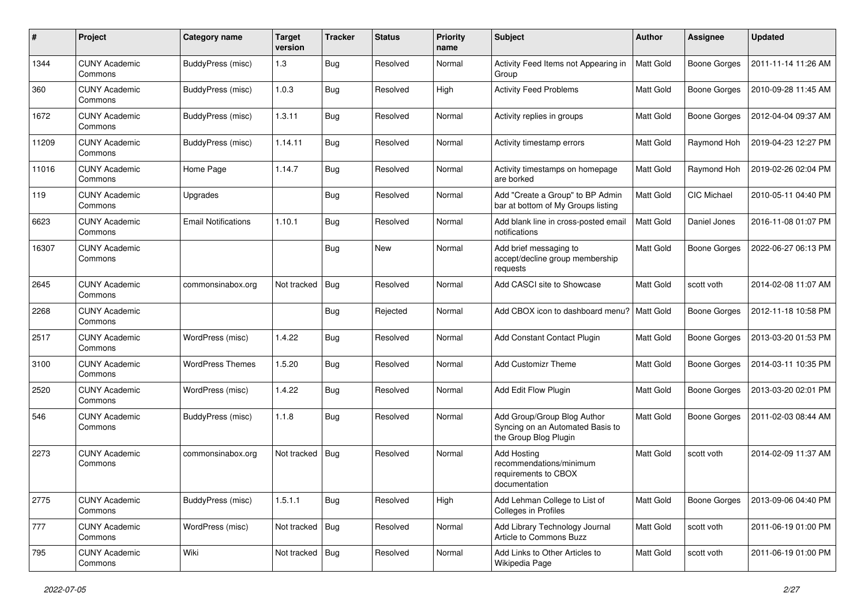| #     | Project                         | Category name              | <b>Target</b><br>version | <b>Tracker</b> | <b>Status</b> | <b>Priority</b><br>name | Subject                                                                                  | Author           | Assignee            | <b>Updated</b>      |
|-------|---------------------------------|----------------------------|--------------------------|----------------|---------------|-------------------------|------------------------------------------------------------------------------------------|------------------|---------------------|---------------------|
| 1344  | <b>CUNY Academic</b><br>Commons | <b>BuddyPress</b> (misc)   | 1.3                      | Bug            | Resolved      | Normal                  | Activity Feed Items not Appearing in<br>Group                                            | <b>Matt Gold</b> | <b>Boone Gorges</b> | 2011-11-14 11:26 AM |
| 360   | <b>CUNY Academic</b><br>Commons | BuddyPress (misc)          | 1.0.3                    | Bug            | Resolved      | High                    | <b>Activity Feed Problems</b>                                                            | Matt Gold        | <b>Boone Gorges</b> | 2010-09-28 11:45 AM |
| 1672  | <b>CUNY Academic</b><br>Commons | BuddyPress (misc)          | 1.3.11                   | <b>Bug</b>     | Resolved      | Normal                  | Activity replies in groups                                                               | Matt Gold        | <b>Boone Gorges</b> | 2012-04-04 09:37 AM |
| 11209 | <b>CUNY Academic</b><br>Commons | BuddyPress (misc)          | 1.14.11                  | Bug            | Resolved      | Normal                  | Activity timestamp errors                                                                | Matt Gold        | Raymond Hoh         | 2019-04-23 12:27 PM |
| 11016 | <b>CUNY Academic</b><br>Commons | Home Page                  | 1.14.7                   | Bug            | Resolved      | Normal                  | Activity timestamps on homepage<br>are borked                                            | Matt Gold        | Raymond Hoh         | 2019-02-26 02:04 PM |
| 119   | <b>CUNY Academic</b><br>Commons | Upgrades                   |                          | Bug            | Resolved      | Normal                  | Add "Create a Group" to BP Admin<br>bar at bottom of My Groups listing                   | Matt Gold        | CIC Michael         | 2010-05-11 04:40 PM |
| 6623  | <b>CUNY Academic</b><br>Commons | <b>Email Notifications</b> | 1.10.1                   | Bug            | Resolved      | Normal                  | Add blank line in cross-posted email<br>notifications                                    | Matt Gold        | Daniel Jones        | 2016-11-08 01:07 PM |
| 16307 | <b>CUNY Academic</b><br>Commons |                            |                          | Bug            | New           | Normal                  | Add brief messaging to<br>accept/decline group membership<br>requests                    | Matt Gold        | <b>Boone Gorges</b> | 2022-06-27 06:13 PM |
| 2645  | <b>CUNY Academic</b><br>Commons | commonsinabox.org          | Not tracked              | Bug            | Resolved      | Normal                  | Add CASCI site to Showcase                                                               | Matt Gold        | scott voth          | 2014-02-08 11:07 AM |
| 2268  | <b>CUNY Academic</b><br>Commons |                            |                          | Bug            | Rejected      | Normal                  | Add CBOX icon to dashboard menu?   Matt Gold                                             |                  | <b>Boone Gorges</b> | 2012-11-18 10:58 PM |
| 2517  | <b>CUNY Academic</b><br>Commons | WordPress (misc)           | 1.4.22                   | Bug            | Resolved      | Normal                  | Add Constant Contact Plugin                                                              | Matt Gold        | <b>Boone Gorges</b> | 2013-03-20 01:53 PM |
| 3100  | <b>CUNY Academic</b><br>Commons | <b>WordPress Themes</b>    | 1.5.20                   | Bug            | Resolved      | Normal                  | <b>Add Customizr Theme</b>                                                               | Matt Gold        | <b>Boone Gorges</b> | 2014-03-11 10:35 PM |
| 2520  | <b>CUNY Academic</b><br>Commons | WordPress (misc)           | 1.4.22                   | <b>Bug</b>     | Resolved      | Normal                  | Add Edit Flow Plugin                                                                     | Matt Gold        | <b>Boone Gorges</b> | 2013-03-20 02:01 PM |
| 546   | <b>CUNY Academic</b><br>Commons | BuddyPress (misc)          | 1.1.8                    | Bug            | Resolved      | Normal                  | Add Group/Group Blog Author<br>Syncing on an Automated Basis to<br>the Group Blog Plugin | Matt Gold        | <b>Boone Gorges</b> | 2011-02-03 08:44 AM |
| 2273  | <b>CUNY Academic</b><br>Commons | commonsinabox.org          | Not tracked              | Bug            | Resolved      | Normal                  | Add Hosting<br>recommendations/minimum<br>requirements to CBOX<br>documentation          | Matt Gold        | scott voth          | 2014-02-09 11:37 AM |
| 2775  | <b>CUNY Academic</b><br>Commons | BuddyPress (misc)          | 1.5.1.1                  | <b>Bug</b>     | Resolved      | High                    | Add Lehman College to List of<br>Colleges in Profiles                                    | Matt Gold        | Boone Gorges        | 2013-09-06 04:40 PM |
| 777   | <b>CUNY Academic</b><br>Commons | WordPress (misc)           | Not tracked              | Bug            | Resolved      | Normal                  | Add Library Technology Journal<br>Article to Commons Buzz                                | Matt Gold        | scott voth          | 2011-06-19 01:00 PM |
| 795   | <b>CUNY Academic</b><br>Commons | Wiki                       | Not tracked              | Bug            | Resolved      | Normal                  | Add Links to Other Articles to<br>Wikipedia Page                                         | Matt Gold        | scott voth          | 2011-06-19 01:00 PM |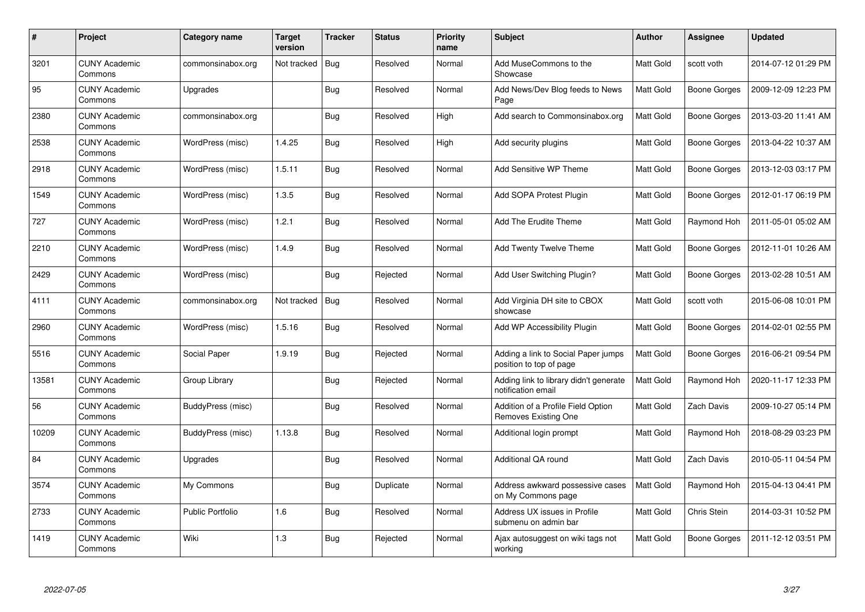| #     | Project                         | <b>Category name</b> | Target<br>version | <b>Tracker</b> | <b>Status</b> | <b>Priority</b><br>name | <b>Subject</b>                                                 | <b>Author</b>    | Assignee     | <b>Updated</b>      |
|-------|---------------------------------|----------------------|-------------------|----------------|---------------|-------------------------|----------------------------------------------------------------|------------------|--------------|---------------------|
| 3201  | <b>CUNY Academic</b><br>Commons | commonsinabox.org    | Not tracked       | Bug            | Resolved      | Normal                  | Add MuseCommons to the<br>Showcase                             | Matt Gold        | scott voth   | 2014-07-12 01:29 PM |
| 95    | <b>CUNY Academic</b><br>Commons | Upgrades             |                   | Bug            | Resolved      | Normal                  | Add News/Dev Blog feeds to News<br>Page                        | <b>Matt Gold</b> | Boone Gorges | 2009-12-09 12:23 PM |
| 2380  | <b>CUNY Academic</b><br>Commons | commonsinabox.org    |                   | Bug            | Resolved      | High                    | Add search to Commonsinabox.org                                | Matt Gold        | Boone Gorges | 2013-03-20 11:41 AM |
| 2538  | <b>CUNY Academic</b><br>Commons | WordPress (misc)     | 1.4.25            | Bug            | Resolved      | High                    | Add security plugins                                           | Matt Gold        | Boone Gorges | 2013-04-22 10:37 AM |
| 2918  | <b>CUNY Academic</b><br>Commons | WordPress (misc)     | 1.5.11            | Bug            | Resolved      | Normal                  | <b>Add Sensitive WP Theme</b>                                  | <b>Matt Gold</b> | Boone Gorges | 2013-12-03 03:17 PM |
| 1549  | <b>CUNY Academic</b><br>Commons | WordPress (misc)     | 1.3.5             | <b>Bug</b>     | Resolved      | Normal                  | Add SOPA Protest Plugin                                        | Matt Gold        | Boone Gorges | 2012-01-17 06:19 PM |
| 727   | <b>CUNY Academic</b><br>Commons | WordPress (misc)     | 1.2.1             | Bug            | Resolved      | Normal                  | Add The Erudite Theme                                          | <b>Matt Gold</b> | Raymond Hoh  | 2011-05-01 05:02 AM |
| 2210  | <b>CUNY Academic</b><br>Commons | WordPress (misc)     | 1.4.9             | Bug            | Resolved      | Normal                  | <b>Add Twenty Twelve Theme</b>                                 | Matt Gold        | Boone Gorges | 2012-11-01 10:26 AM |
| 2429  | <b>CUNY Academic</b><br>Commons | WordPress (misc)     |                   | Bug            | Rejected      | Normal                  | Add User Switching Plugin?                                     | Matt Gold        | Boone Gorges | 2013-02-28 10:51 AM |
| 4111  | <b>CUNY Academic</b><br>Commons | commonsinabox.org    | Not tracked       | Bug            | Resolved      | Normal                  | Add Virginia DH site to CBOX<br>showcase                       | Matt Gold        | scott voth   | 2015-06-08 10:01 PM |
| 2960  | <b>CUNY Academic</b><br>Commons | WordPress (misc)     | 1.5.16            | Bug            | Resolved      | Normal                  | Add WP Accessibility Plugin                                    | Matt Gold        | Boone Gorges | 2014-02-01 02:55 PM |
| 5516  | <b>CUNY Academic</b><br>Commons | Social Paper         | 1.9.19            | <b>Bug</b>     | Rejected      | Normal                  | Adding a link to Social Paper jumps<br>position to top of page | Matt Gold        | Boone Gorges | 2016-06-21 09:54 PM |
| 13581 | <b>CUNY Academic</b><br>Commons | Group Library        |                   | Bug            | Rejected      | Normal                  | Adding link to library didn't generate<br>notification email   | Matt Gold        | Raymond Hoh  | 2020-11-17 12:33 PM |
| 56    | <b>CUNY Academic</b><br>Commons | BuddyPress (misc)    |                   | Bug            | Resolved      | Normal                  | Addition of a Profile Field Option<br>Removes Existing One     | Matt Gold        | Zach Davis   | 2009-10-27 05:14 PM |
| 10209 | <b>CUNY Academic</b><br>Commons | BuddyPress (misc)    | 1.13.8            | <b>Bug</b>     | Resolved      | Normal                  | Additional login prompt                                        | Matt Gold        | Raymond Hoh  | 2018-08-29 03:23 PM |
| 84    | <b>CUNY Academic</b><br>Commons | Upgrades             |                   | <b>Bug</b>     | Resolved      | Normal                  | <b>Additional QA round</b>                                     | Matt Gold        | Zach Davis   | 2010-05-11 04:54 PM |
| 3574  | <b>CUNY Academic</b><br>Commons | My Commons           |                   | <b>Bug</b>     | Duplicate     | Normal                  | Address awkward possessive cases<br>on My Commons page         | <b>Matt Gold</b> | Raymond Hoh  | 2015-04-13 04:41 PM |
| 2733  | <b>CUNY Academic</b><br>Commons | Public Portfolio     | 1.6               | <b>Bug</b>     | Resolved      | Normal                  | Address UX issues in Profile<br>submenu on admin bar           | Matt Gold        | Chris Stein  | 2014-03-31 10:52 PM |
| 1419  | <b>CUNY Academic</b><br>Commons | Wiki                 | 1.3               | Bug            | Rejected      | Normal                  | Ajax autosuggest on wiki tags not<br>working                   | Matt Gold        | Boone Gorges | 2011-12-12 03:51 PM |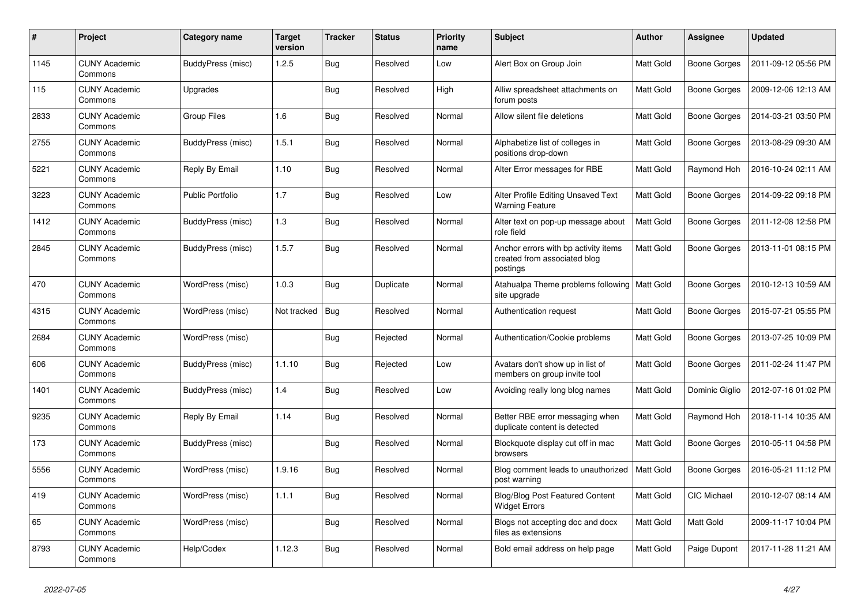| $\pmb{\#}$ | Project                         | Category name           | <b>Target</b><br>version | <b>Tracker</b> | <b>Status</b> | <b>Priority</b><br>name | <b>Subject</b>                                                                   | Author           | <b>Assignee</b>     | <b>Updated</b>      |
|------------|---------------------------------|-------------------------|--------------------------|----------------|---------------|-------------------------|----------------------------------------------------------------------------------|------------------|---------------------|---------------------|
| 1145       | <b>CUNY Academic</b><br>Commons | BuddyPress (misc)       | 1.2.5                    | Bug            | Resolved      | Low                     | Alert Box on Group Join                                                          | <b>Matt Gold</b> | <b>Boone Gorges</b> | 2011-09-12 05:56 PM |
| 115        | <b>CUNY Academic</b><br>Commons | Upgrades                |                          | Bug            | Resolved      | High                    | Alliw spreadsheet attachments on<br>forum posts                                  | Matt Gold        | <b>Boone Gorges</b> | 2009-12-06 12:13 AM |
| 2833       | <b>CUNY Academic</b><br>Commons | <b>Group Files</b>      | 1.6                      | <b>Bug</b>     | Resolved      | Normal                  | Allow silent file deletions                                                      | Matt Gold        | <b>Boone Gorges</b> | 2014-03-21 03:50 PM |
| 2755       | <b>CUNY Academic</b><br>Commons | BuddyPress (misc)       | 1.5.1                    | <b>Bug</b>     | Resolved      | Normal                  | Alphabetize list of colleges in<br>positions drop-down                           | Matt Gold        | Boone Gorges        | 2013-08-29 09:30 AM |
| 5221       | <b>CUNY Academic</b><br>Commons | Reply By Email          | 1.10                     | Bug            | Resolved      | Normal                  | Alter Error messages for RBE                                                     | Matt Gold        | Raymond Hoh         | 2016-10-24 02:11 AM |
| 3223       | <b>CUNY Academic</b><br>Commons | <b>Public Portfolio</b> | 1.7                      | Bug            | Resolved      | Low                     | Alter Profile Editing Unsaved Text<br><b>Warning Feature</b>                     | Matt Gold        | <b>Boone Gorges</b> | 2014-09-22 09:18 PM |
| 1412       | <b>CUNY Academic</b><br>Commons | BuddyPress (misc)       | 1.3                      | Bug            | Resolved      | Normal                  | Alter text on pop-up message about<br>role field                                 | Matt Gold        | Boone Gorges        | 2011-12-08 12:58 PM |
| 2845       | <b>CUNY Academic</b><br>Commons | BuddyPress (misc)       | 1.5.7                    | Bug            | Resolved      | Normal                  | Anchor errors with bp activity items<br>created from associated blog<br>postings | Matt Gold        | Boone Gorges        | 2013-11-01 08:15 PM |
| 470        | <b>CUNY Academic</b><br>Commons | WordPress (misc)        | 1.0.3                    | Bug            | Duplicate     | Normal                  | Atahualpa Theme problems following   Matt Gold<br>site upgrade                   |                  | Boone Gorges        | 2010-12-13 10:59 AM |
| 4315       | <b>CUNY Academic</b><br>Commons | WordPress (misc)        | Not tracked              | Bug            | Resolved      | Normal                  | Authentication request                                                           | Matt Gold        | <b>Boone Gorges</b> | 2015-07-21 05:55 PM |
| 2684       | <b>CUNY Academic</b><br>Commons | WordPress (misc)        |                          | Bug            | Rejected      | Normal                  | Authentication/Cookie problems                                                   | Matt Gold        | Boone Gorges        | 2013-07-25 10:09 PM |
| 606        | <b>CUNY Academic</b><br>Commons | BuddyPress (misc)       | 1.1.10                   | Bug            | Rejected      | Low                     | Avatars don't show up in list of<br>members on group invite tool                 | Matt Gold        | <b>Boone Gorges</b> | 2011-02-24 11:47 PM |
| 1401       | <b>CUNY Academic</b><br>Commons | BuddyPress (misc)       | 1.4                      | Bug            | Resolved      | Low                     | Avoiding really long blog names                                                  | <b>Matt Gold</b> | Dominic Giglio      | 2012-07-16 01:02 PM |
| 9235       | <b>CUNY Academic</b><br>Commons | Reply By Email          | 1.14                     | <b>Bug</b>     | Resolved      | Normal                  | Better RBE error messaging when<br>duplicate content is detected                 | Matt Gold        | Raymond Hoh         | 2018-11-14 10:35 AM |
| 173        | <b>CUNY Academic</b><br>Commons | BuddyPress (misc)       |                          | Bug            | Resolved      | Normal                  | Blockquote display cut off in mac<br>browsers                                    | Matt Gold        | Boone Gorges        | 2010-05-11 04:58 PM |
| 5556       | <b>CUNY Academic</b><br>Commons | WordPress (misc)        | 1.9.16                   | Bug            | Resolved      | Normal                  | Blog comment leads to unauthorized<br>post warning                               | Matt Gold        | <b>Boone Gorges</b> | 2016-05-21 11:12 PM |
| 419        | <b>CUNY Academic</b><br>Commons | WordPress (misc)        | 1.1.1                    | <b>Bug</b>     | Resolved      | Normal                  | <b>Blog/Blog Post Featured Content</b><br><b>Widget Errors</b>                   | Matt Gold        | CIC Michael         | 2010-12-07 08:14 AM |
| 65         | <b>CUNY Academic</b><br>Commons | WordPress (misc)        |                          | <b>Bug</b>     | Resolved      | Normal                  | Blogs not accepting doc and docx<br>files as extensions                          | Matt Gold        | Matt Gold           | 2009-11-17 10:04 PM |
| 8793       | <b>CUNY Academic</b><br>Commons | Help/Codex              | 1.12.3                   | Bug            | Resolved      | Normal                  | Bold email address on help page                                                  | Matt Gold        | Paige Dupont        | 2017-11-28 11:21 AM |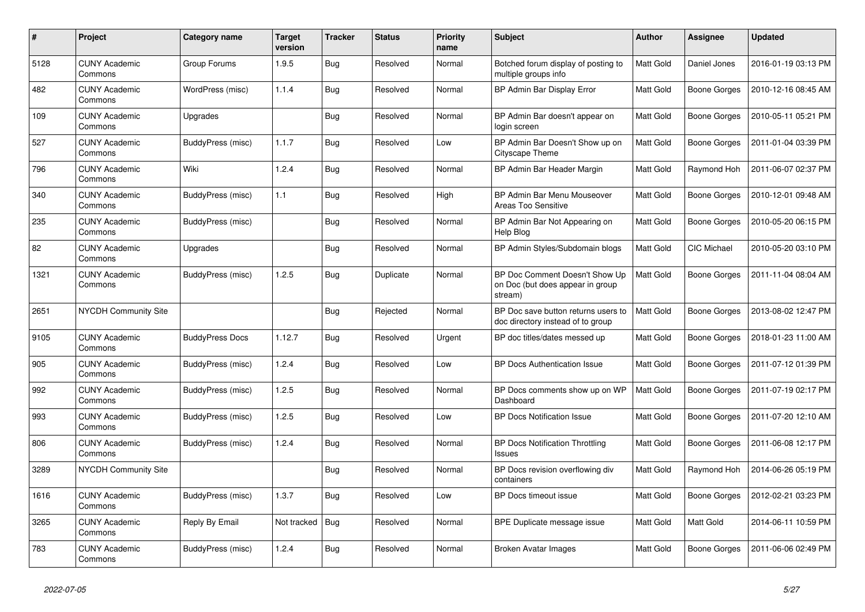| #    | Project                         | <b>Category name</b>   | Target<br>version | <b>Tracker</b> | <b>Status</b> | <b>Priority</b><br>name | <b>Subject</b>                                                                | <b>Author</b>    | Assignee     | <b>Updated</b>      |
|------|---------------------------------|------------------------|-------------------|----------------|---------------|-------------------------|-------------------------------------------------------------------------------|------------------|--------------|---------------------|
| 5128 | <b>CUNY Academic</b><br>Commons | Group Forums           | 1.9.5             | Bug            | Resolved      | Normal                  | Botched forum display of posting to<br>multiple groups info                   | <b>Matt Gold</b> | Daniel Jones | 2016-01-19 03:13 PM |
| 482  | <b>CUNY Academic</b><br>Commons | WordPress (misc)       | 1.1.4             | <b>Bug</b>     | Resolved      | Normal                  | BP Admin Bar Display Error                                                    | Matt Gold        | Boone Gorges | 2010-12-16 08:45 AM |
| 109  | <b>CUNY Academic</b><br>Commons | Upgrades               |                   | Bug            | Resolved      | Normal                  | BP Admin Bar doesn't appear on<br>login screen                                | Matt Gold        | Boone Gorges | 2010-05-11 05:21 PM |
| 527  | <b>CUNY Academic</b><br>Commons | BuddyPress (misc)      | 1.1.7             | Bug            | Resolved      | Low                     | BP Admin Bar Doesn't Show up on<br><b>Cityscape Theme</b>                     | Matt Gold        | Boone Gorges | 2011-01-04 03:39 PM |
| 796  | <b>CUNY Academic</b><br>Commons | Wiki                   | 1.2.4             | Bug            | Resolved      | Normal                  | BP Admin Bar Header Margin                                                    | Matt Gold        | Raymond Hoh  | 2011-06-07 02:37 PM |
| 340  | <b>CUNY Academic</b><br>Commons | BuddyPress (misc)      | 1.1               | Bug            | Resolved      | High                    | BP Admin Bar Menu Mouseover<br>Areas Too Sensitive                            | Matt Gold        | Boone Gorges | 2010-12-01 09:48 AM |
| 235  | <b>CUNY Academic</b><br>Commons | BuddyPress (misc)      |                   | Bug            | Resolved      | Normal                  | BP Admin Bar Not Appearing on<br>Help Blog                                    | Matt Gold        | Boone Gorges | 2010-05-20 06:15 PM |
| 82   | <b>CUNY Academic</b><br>Commons | Upgrades               |                   | Bug            | Resolved      | Normal                  | BP Admin Styles/Subdomain blogs                                               | <b>Matt Gold</b> | CIC Michael  | 2010-05-20 03:10 PM |
| 1321 | <b>CUNY Academic</b><br>Commons | BuddyPress (misc)      | 1.2.5             | Bug            | Duplicate     | Normal                  | BP Doc Comment Doesn't Show Up<br>on Doc (but does appear in group<br>stream) | Matt Gold        | Boone Gorges | 2011-11-04 08:04 AM |
| 2651 | <b>NYCDH Community Site</b>     |                        |                   | Bug            | Rejected      | Normal                  | BP Doc save button returns users to<br>doc directory instead of to group      | <b>Matt Gold</b> | Boone Gorges | 2013-08-02 12:47 PM |
| 9105 | <b>CUNY Academic</b><br>Commons | <b>BuddyPress Docs</b> | 1.12.7            | Bug            | Resolved      | Urgent                  | BP doc titles/dates messed up                                                 | Matt Gold        | Boone Gorges | 2018-01-23 11:00 AM |
| 905  | <b>CUNY Academic</b><br>Commons | BuddyPress (misc)      | 1.2.4             | Bug            | Resolved      | Low                     | BP Docs Authentication Issue                                                  | Matt Gold        | Boone Gorges | 2011-07-12 01:39 PM |
| 992  | <b>CUNY Academic</b><br>Commons | BuddyPress (misc)      | 1.2.5             | Bug            | Resolved      | Normal                  | BP Docs comments show up on WP<br>Dashboard                                   | Matt Gold        | Boone Gorges | 2011-07-19 02:17 PM |
| 993  | <b>CUNY Academic</b><br>Commons | BuddyPress (misc)      | 1.2.5             | <b>Bug</b>     | Resolved      | Low                     | <b>BP Docs Notification Issue</b>                                             | Matt Gold        | Boone Gorges | 2011-07-20 12:10 AM |
| 806  | <b>CUNY Academic</b><br>Commons | BuddyPress (misc)      | 1.2.4             | Bug            | Resolved      | Normal                  | <b>BP Docs Notification Throttling</b><br><b>Issues</b>                       | Matt Gold        | Boone Gorges | 2011-06-08 12:17 PM |
| 3289 | <b>NYCDH Community Site</b>     |                        |                   | Bug            | Resolved      | Normal                  | BP Docs revision overflowing div<br>containers                                | Matt Gold        | Raymond Hoh  | 2014-06-26 05:19 PM |
| 1616 | <b>CUNY Academic</b><br>Commons | BuddyPress (misc)      | 1.3.7             | Bug            | Resolved      | Low                     | BP Docs timeout issue                                                         | Matt Gold        | Boone Gorges | 2012-02-21 03:23 PM |
| 3265 | <b>CUNY Academic</b><br>Commons | Reply By Email         | Not tracked       | <b>Bug</b>     | Resolved      | Normal                  | BPE Duplicate message issue                                                   | Matt Gold        | Matt Gold    | 2014-06-11 10:59 PM |
| 783  | <b>CUNY Academic</b><br>Commons | BuddyPress (misc)      | 1.2.4             | Bug            | Resolved      | Normal                  | Broken Avatar Images                                                          | Matt Gold        | Boone Gorges | 2011-06-06 02:49 PM |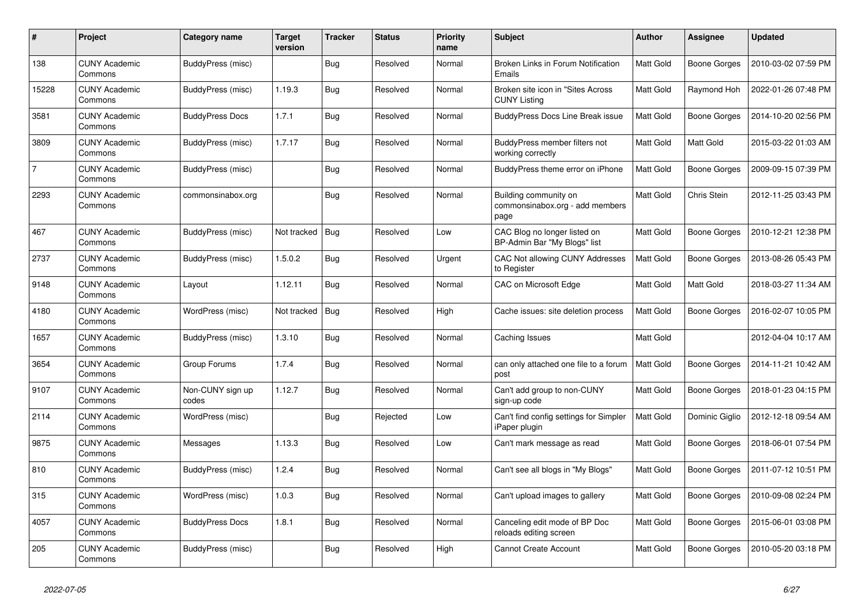| #              | Project                         | Category name             | <b>Target</b><br>version | <b>Tracker</b> | <b>Status</b> | <b>Priority</b><br>name | <b>Subject</b>                                                   | <b>Author</b>    | Assignee            | <b>Updated</b>      |
|----------------|---------------------------------|---------------------------|--------------------------|----------------|---------------|-------------------------|------------------------------------------------------------------|------------------|---------------------|---------------------|
| 138            | <b>CUNY Academic</b><br>Commons | BuddyPress (misc)         |                          | <b>Bug</b>     | Resolved      | Normal                  | Broken Links in Forum Notification<br>Emails                     | <b>Matt Gold</b> | Boone Gorges        | 2010-03-02 07:59 PM |
| 15228          | <b>CUNY Academic</b><br>Commons | BuddyPress (misc)         | 1.19.3                   | <b>Bug</b>     | Resolved      | Normal                  | Broken site icon in "Sites Across"<br><b>CUNY Listing</b>        | Matt Gold        | Raymond Hoh         | 2022-01-26 07:48 PM |
| 3581           | <b>CUNY Academic</b><br>Commons | <b>BuddyPress Docs</b>    | 1.7.1                    | Bug            | Resolved      | Normal                  | <b>BuddyPress Docs Line Break issue</b>                          | Matt Gold        | Boone Gorges        | 2014-10-20 02:56 PM |
| 3809           | <b>CUNY Academic</b><br>Commons | BuddyPress (misc)         | 1.7.17                   | <b>Bug</b>     | Resolved      | Normal                  | BuddyPress member filters not<br>working correctly               | Matt Gold        | Matt Gold           | 2015-03-22 01:03 AM |
| $\overline{7}$ | <b>CUNY Academic</b><br>Commons | BuddyPress (misc)         |                          | <b>Bug</b>     | Resolved      | Normal                  | BuddyPress theme error on iPhone                                 | Matt Gold        | Boone Gorges        | 2009-09-15 07:39 PM |
| 2293           | <b>CUNY Academic</b><br>Commons | commonsinabox.org         |                          | <b>Bug</b>     | Resolved      | Normal                  | Building community on<br>commonsinabox.org - add members<br>page | Matt Gold        | Chris Stein         | 2012-11-25 03:43 PM |
| 467            | <b>CUNY Academic</b><br>Commons | BuddyPress (misc)         | Not tracked              | <b>Bug</b>     | Resolved      | Low                     | CAC Blog no longer listed on<br>BP-Admin Bar "My Blogs" list     | <b>Matt Gold</b> | Boone Gorges        | 2010-12-21 12:38 PM |
| 2737           | <b>CUNY Academic</b><br>Commons | BuddyPress (misc)         | 1.5.0.2                  | <b>Bug</b>     | Resolved      | Urgent                  | CAC Not allowing CUNY Addresses<br>to Register                   | Matt Gold        | Boone Gorges        | 2013-08-26 05:43 PM |
| 9148           | <b>CUNY Academic</b><br>Commons | Layout                    | 1.12.11                  | <b>Bug</b>     | Resolved      | Normal                  | CAC on Microsoft Edge                                            | Matt Gold        | Matt Gold           | 2018-03-27 11:34 AM |
| 4180           | <b>CUNY Academic</b><br>Commons | WordPress (misc)          | Not tracked              | <b>Bug</b>     | Resolved      | High                    | Cache issues: site deletion process                              | Matt Gold        | Boone Gorges        | 2016-02-07 10:05 PM |
| 1657           | <b>CUNY Academic</b><br>Commons | BuddyPress (misc)         | 1.3.10                   | <b>Bug</b>     | Resolved      | Normal                  | Caching Issues                                                   | Matt Gold        |                     | 2012-04-04 10:17 AM |
| 3654           | <b>CUNY Academic</b><br>Commons | Group Forums              | 1.7.4                    | <b>Bug</b>     | Resolved      | Normal                  | can only attached one file to a forum<br>post                    | <b>Matt Gold</b> | Boone Gorges        | 2014-11-21 10:42 AM |
| 9107           | <b>CUNY Academic</b><br>Commons | Non-CUNY sign up<br>codes | 1.12.7                   | Bug            | Resolved      | Normal                  | Can't add group to non-CUNY<br>sign-up code                      | Matt Gold        | Boone Gorges        | 2018-01-23 04:15 PM |
| 2114           | <b>CUNY Academic</b><br>Commons | WordPress (misc)          |                          | <b>Bug</b>     | Rejected      | Low                     | Can't find config settings for Simpler<br>iPaper plugin          | Matt Gold        | Dominic Giglio      | 2012-12-18 09:54 AM |
| 9875           | <b>CUNY Academic</b><br>Commons | Messages                  | 1.13.3                   | Bug            | Resolved      | Low                     | Can't mark message as read                                       | Matt Gold        | <b>Boone Gorges</b> | 2018-06-01 07:54 PM |
| 810            | <b>CUNY Academic</b><br>Commons | BuddyPress (misc)         | 1.2.4                    | <b>Bug</b>     | Resolved      | Normal                  | Can't see all blogs in "My Blogs"                                | Matt Gold        | Boone Gorges        | 2011-07-12 10:51 PM |
| 315            | <b>CUNY Academic</b><br>Commons | WordPress (misc)          | 1.0.3                    | <b>Bug</b>     | Resolved      | Normal                  | Can't upload images to gallery                                   | Matt Gold        | Boone Gorges        | 2010-09-08 02:24 PM |
| 4057           | <b>CUNY Academic</b><br>Commons | <b>BuddyPress Docs</b>    | 1.8.1                    | <b>Bug</b>     | Resolved      | Normal                  | Canceling edit mode of BP Doc<br>reloads editing screen          | Matt Gold        | Boone Gorges        | 2015-06-01 03:08 PM |
| 205            | <b>CUNY Academic</b><br>Commons | BuddyPress (misc)         |                          | <b>Bug</b>     | Resolved      | High                    | <b>Cannot Create Account</b>                                     | Matt Gold        | Boone Gorges        | 2010-05-20 03:18 PM |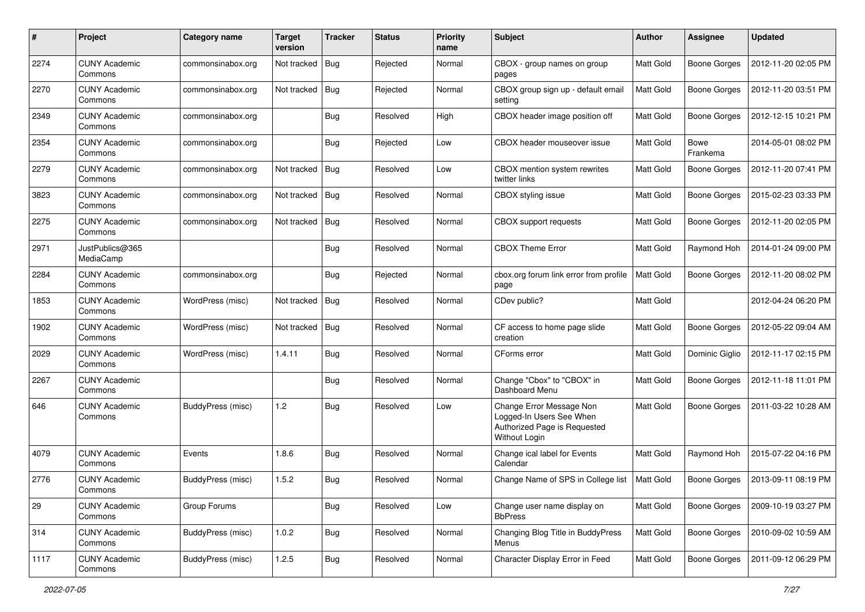| #    | Project                         | Category name            | <b>Target</b><br>version | <b>Tracker</b> | <b>Status</b> | <b>Priority</b><br>name | Subject                                                                                               | Author           | <b>Assignee</b>         | <b>Updated</b>      |
|------|---------------------------------|--------------------------|--------------------------|----------------|---------------|-------------------------|-------------------------------------------------------------------------------------------------------|------------------|-------------------------|---------------------|
| 2274 | <b>CUNY Academic</b><br>Commons | commonsinabox.org        | Not tracked              | Bug            | Rejected      | Normal                  | CBOX - group names on group<br>pages                                                                  | <b>Matt Gold</b> | <b>Boone Gorges</b>     | 2012-11-20 02:05 PM |
| 2270 | <b>CUNY Academic</b><br>Commons | commonsinabox.org        | Not tracked              | <b>Bug</b>     | Rejected      | Normal                  | CBOX group sign up - default email<br>setting                                                         | <b>Matt Gold</b> | <b>Boone Gorges</b>     | 2012-11-20 03:51 PM |
| 2349 | <b>CUNY Academic</b><br>Commons | commonsinabox.org        |                          | Bug            | Resolved      | High                    | CBOX header image position off                                                                        | Matt Gold        | <b>Boone Gorges</b>     | 2012-12-15 10:21 PM |
| 2354 | <b>CUNY Academic</b><br>Commons | commonsinabox.org        |                          | Bug            | Rejected      | Low                     | CBOX header mouseover issue                                                                           | Matt Gold        | <b>Bowe</b><br>Frankema | 2014-05-01 08:02 PM |
| 2279 | <b>CUNY Academic</b><br>Commons | commonsinabox.org        | Not tracked              | Bug            | Resolved      | Low                     | CBOX mention system rewrites<br>twitter links                                                         | Matt Gold        | <b>Boone Gorges</b>     | 2012-11-20 07:41 PM |
| 3823 | <b>CUNY Academic</b><br>Commons | commonsinabox.org        | Not tracked              | Bug            | Resolved      | Normal                  | CBOX styling issue                                                                                    | Matt Gold        | <b>Boone Gorges</b>     | 2015-02-23 03:33 PM |
| 2275 | <b>CUNY Academic</b><br>Commons | commonsinabox.org        | Not tracked              | Bug            | Resolved      | Normal                  | <b>CBOX</b> support requests                                                                          | Matt Gold        | <b>Boone Gorges</b>     | 2012-11-20 02:05 PM |
| 2971 | JustPublics@365<br>MediaCamp    |                          |                          | <b>Bug</b>     | Resolved      | Normal                  | <b>CBOX Theme Error</b>                                                                               | Matt Gold        | Raymond Hoh             | 2014-01-24 09:00 PM |
| 2284 | <b>CUNY Academic</b><br>Commons | commonsinabox.org        |                          | <b>Bug</b>     | Rejected      | Normal                  | cbox.org forum link error from profile<br>page                                                        | <b>Matt Gold</b> | <b>Boone Gorges</b>     | 2012-11-20 08:02 PM |
| 1853 | <b>CUNY Academic</b><br>Commons | WordPress (misc)         | Not tracked              | <b>Bug</b>     | Resolved      | Normal                  | CDev public?                                                                                          | Matt Gold        |                         | 2012-04-24 06:20 PM |
| 1902 | <b>CUNY Academic</b><br>Commons | WordPress (misc)         | Not tracked              | Bug            | Resolved      | Normal                  | CF access to home page slide<br>creation                                                              | <b>Matt Gold</b> | <b>Boone Gorges</b>     | 2012-05-22 09:04 AM |
| 2029 | <b>CUNY Academic</b><br>Commons | WordPress (misc)         | 1.4.11                   | Bug            | Resolved      | Normal                  | CForms error                                                                                          | Matt Gold        | Dominic Giglio          | 2012-11-17 02:15 PM |
| 2267 | <b>CUNY Academic</b><br>Commons |                          |                          | <b>Bug</b>     | Resolved      | Normal                  | Change "Cbox" to "CBOX" in<br>Dashboard Menu                                                          | <b>Matt Gold</b> | <b>Boone Gorges</b>     | 2012-11-18 11:01 PM |
| 646  | <b>CUNY Academic</b><br>Commons | BuddyPress (misc)        | 1.2                      | Bug            | Resolved      | Low                     | Change Error Message Non<br>Logged-In Users See When<br>Authorized Page is Requested<br>Without Login | Matt Gold        | <b>Boone Gorges</b>     | 2011-03-22 10:28 AM |
| 4079 | <b>CUNY Academic</b><br>Commons | Events                   | 1.8.6                    | <b>Bug</b>     | Resolved      | Normal                  | Change ical label for Events<br>Calendar                                                              | Matt Gold        | Raymond Hoh             | 2015-07-22 04:16 PM |
| 2776 | <b>CUNY Academic</b><br>Commons | <b>BuddyPress</b> (misc) | 1.5.2                    | <b>Bug</b>     | Resolved      | Normal                  | Change Name of SPS in College list                                                                    | <b>Matt Gold</b> | <b>Boone Gorges</b>     | 2013-09-11 08:19 PM |
| 29   | <b>CUNY Academic</b><br>Commons | Group Forums             |                          | <b>Bug</b>     | Resolved      | Low                     | Change user name display on<br><b>BbPress</b>                                                         | Matt Gold        | <b>Boone Gorges</b>     | 2009-10-19 03:27 PM |
| 314  | <b>CUNY Academic</b><br>Commons | <b>BuddyPress (misc)</b> | 1.0.2                    | <b>Bug</b>     | Resolved      | Normal                  | Changing Blog Title in BuddyPress<br>Menus                                                            | Matt Gold        | Boone Gorges            | 2010-09-02 10:59 AM |
| 1117 | <b>CUNY Academic</b><br>Commons | BuddyPress (misc)        | 1.2.5                    | <b>Bug</b>     | Resolved      | Normal                  | Character Display Error in Feed                                                                       | Matt Gold        | <b>Boone Gorges</b>     | 2011-09-12 06:29 PM |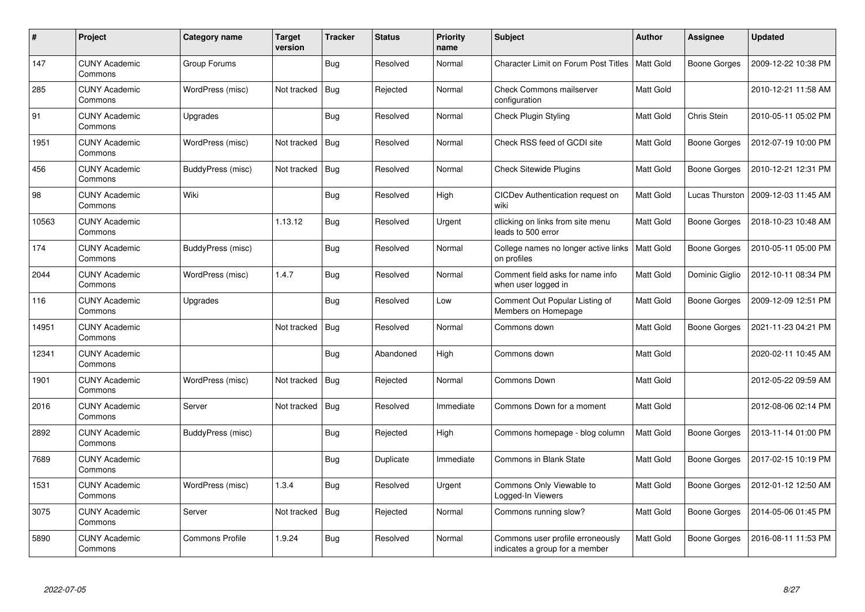| $\#$  | Project                         | Category name          | <b>Target</b><br>version | <b>Tracker</b> | <b>Status</b> | <b>Priority</b><br>name | <b>Subject</b>                                                     | <b>Author</b>    | Assignee            | <b>Updated</b>      |
|-------|---------------------------------|------------------------|--------------------------|----------------|---------------|-------------------------|--------------------------------------------------------------------|------------------|---------------------|---------------------|
| 147   | <b>CUNY Academic</b><br>Commons | Group Forums           |                          | Bug            | Resolved      | Normal                  | <b>Character Limit on Forum Post Titles</b>                        | <b>Matt Gold</b> | <b>Boone Gorges</b> | 2009-12-22 10:38 PM |
| 285   | <b>CUNY Academic</b><br>Commons | WordPress (misc)       | Not tracked              | Bug            | Rejected      | Normal                  | <b>Check Commons mailserver</b><br>configuration                   | Matt Gold        |                     | 2010-12-21 11:58 AM |
| 91    | <b>CUNY Academic</b><br>Commons | Upgrades               |                          | Bug            | Resolved      | Normal                  | <b>Check Plugin Styling</b>                                        | Matt Gold        | Chris Stein         | 2010-05-11 05:02 PM |
| 1951  | <b>CUNY Academic</b><br>Commons | WordPress (misc)       | Not tracked              | <b>Bug</b>     | Resolved      | Normal                  | Check RSS feed of GCDI site                                        | Matt Gold        | <b>Boone Gorges</b> | 2012-07-19 10:00 PM |
| 456   | <b>CUNY Academic</b><br>Commons | BuddyPress (misc)      | Not tracked              | Bug            | Resolved      | Normal                  | <b>Check Sitewide Plugins</b>                                      | Matt Gold        | Boone Gorges        | 2010-12-21 12:31 PM |
| 98    | <b>CUNY Academic</b><br>Commons | Wiki                   |                          | Bug            | Resolved      | High                    | CICDev Authentication request on<br>wiki                           | Matt Gold        | Lucas Thurston      | 2009-12-03 11:45 AM |
| 10563 | <b>CUNY Academic</b><br>Commons |                        | 1.13.12                  | <b>Bug</b>     | Resolved      | Urgent                  | cllicking on links from site menu<br>leads to 500 error            | Matt Gold        | <b>Boone Gorges</b> | 2018-10-23 10:48 AM |
| 174   | <b>CUNY Academic</b><br>Commons | BuddyPress (misc)      |                          | Bug            | Resolved      | Normal                  | College names no longer active links<br>on profiles                | Matt Gold        | Boone Gorges        | 2010-05-11 05:00 PM |
| 2044  | <b>CUNY Academic</b><br>Commons | WordPress (misc)       | 1.4.7                    | <b>Bug</b>     | Resolved      | Normal                  | Comment field asks for name info<br>when user logged in            | Matt Gold        | Dominic Giglio      | 2012-10-11 08:34 PM |
| 116   | <b>CUNY Academic</b><br>Commons | Upgrades               |                          | Bug            | Resolved      | Low                     | Comment Out Popular Listing of<br>Members on Homepage              | <b>Matt Gold</b> | Boone Gorges        | 2009-12-09 12:51 PM |
| 14951 | <b>CUNY Academic</b><br>Commons |                        | Not tracked              | <b>Bug</b>     | Resolved      | Normal                  | Commons down                                                       | Matt Gold        | <b>Boone Gorges</b> | 2021-11-23 04:21 PM |
| 12341 | <b>CUNY Academic</b><br>Commons |                        |                          | Bug            | Abandoned     | High                    | Commons down                                                       | Matt Gold        |                     | 2020-02-11 10:45 AM |
| 1901  | <b>CUNY Academic</b><br>Commons | WordPress (misc)       | Not tracked              | Bug            | Rejected      | Normal                  | Commons Down                                                       | Matt Gold        |                     | 2012-05-22 09:59 AM |
| 2016  | <b>CUNY Academic</b><br>Commons | Server                 | Not tracked              | Bug            | Resolved      | Immediate               | Commons Down for a moment                                          | Matt Gold        |                     | 2012-08-06 02:14 PM |
| 2892  | <b>CUNY Academic</b><br>Commons | BuddyPress (misc)      |                          | <b>Bug</b>     | Rejected      | High                    | Commons homepage - blog column                                     | Matt Gold        | Boone Gorges        | 2013-11-14 01:00 PM |
| 7689  | <b>CUNY Academic</b><br>Commons |                        |                          | <b>Bug</b>     | Duplicate     | Immediate               | <b>Commons in Blank State</b>                                      | Matt Gold        | Boone Gorges        | 2017-02-15 10:19 PM |
| 1531  | <b>CUNY Academic</b><br>Commons | WordPress (misc)       | 1.3.4                    | Bug            | Resolved      | Urgent                  | Commons Only Viewable to<br>Logged-In Viewers                      | Matt Gold        | Boone Gorges        | 2012-01-12 12:50 AM |
| 3075  | <b>CUNY Academic</b><br>Commons | Server                 | Not tracked              | Bug            | Rejected      | Normal                  | Commons running slow?                                              | Matt Gold        | Boone Gorges        | 2014-05-06 01:45 PM |
| 5890  | <b>CUNY Academic</b><br>Commons | <b>Commons Profile</b> | 1.9.24                   | <b>Bug</b>     | Resolved      | Normal                  | Commons user profile erroneously<br>indicates a group for a member | Matt Gold        | Boone Gorges        | 2016-08-11 11:53 PM |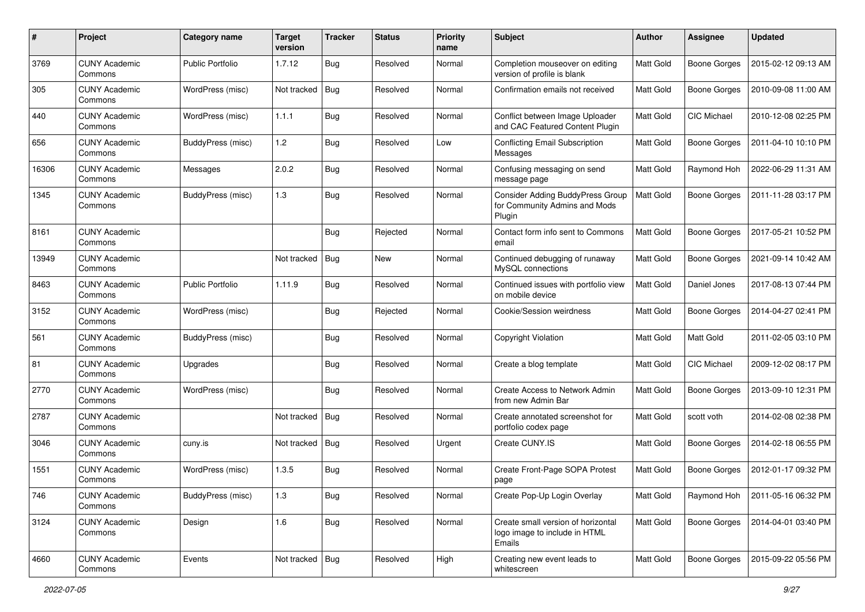| #     | Project                         | Category name            | <b>Target</b><br>version | <b>Tracker</b> | <b>Status</b> | <b>Priority</b><br>name | Subject                                                                            | Author           | Assignee            | <b>Updated</b>      |
|-------|---------------------------------|--------------------------|--------------------------|----------------|---------------|-------------------------|------------------------------------------------------------------------------------|------------------|---------------------|---------------------|
| 3769  | <b>CUNY Academic</b><br>Commons | <b>Public Portfolio</b>  | 1.7.12                   | Bug            | Resolved      | Normal                  | Completion mouseover on editing<br>version of profile is blank                     | Matt Gold        | <b>Boone Gorges</b> | 2015-02-12 09:13 AM |
| 305   | <b>CUNY Academic</b><br>Commons | WordPress (misc)         | Not tracked              | Bug            | Resolved      | Normal                  | Confirmation emails not received                                                   | Matt Gold        | <b>Boone Gorges</b> | 2010-09-08 11:00 AM |
| 440   | <b>CUNY Academic</b><br>Commons | WordPress (misc)         | 1.1.1                    | <b>Bug</b>     | Resolved      | Normal                  | Conflict between Image Uploader<br>and CAC Featured Content Plugin                 | Matt Gold        | CIC Michael         | 2010-12-08 02:25 PM |
| 656   | <b>CUNY Academic</b><br>Commons | BuddyPress (misc)        | 1.2                      | Bug            | Resolved      | Low                     | Conflicting Email Subscription<br>Messages                                         | Matt Gold        | <b>Boone Gorges</b> | 2011-04-10 10:10 PM |
| 16306 | <b>CUNY Academic</b><br>Commons | Messages                 | 2.0.2                    | <b>Bug</b>     | Resolved      | Normal                  | Confusing messaging on send<br>message page                                        | Matt Gold        | Raymond Hoh         | 2022-06-29 11:31 AM |
| 1345  | <b>CUNY Academic</b><br>Commons | <b>BuddyPress</b> (misc) | 1.3                      | Bug            | Resolved      | Normal                  | <b>Consider Adding BuddyPress Group</b><br>for Community Admins and Mods<br>Plugin | Matt Gold        | <b>Boone Gorges</b> | 2011-11-28 03:17 PM |
| 8161  | <b>CUNY Academic</b><br>Commons |                          |                          | <b>Bug</b>     | Rejected      | Normal                  | Contact form info sent to Commons<br>email                                         | Matt Gold        | <b>Boone Gorges</b> | 2017-05-21 10:52 PM |
| 13949 | <b>CUNY Academic</b><br>Commons |                          | Not tracked              | <b>Bug</b>     | New           | Normal                  | Continued debugging of runaway<br>MySQL connections                                | Matt Gold        | <b>Boone Gorges</b> | 2021-09-14 10:42 AM |
| 8463  | <b>CUNY Academic</b><br>Commons | <b>Public Portfolio</b>  | 1.11.9                   | Bug            | Resolved      | Normal                  | Continued issues with portfolio view<br>on mobile device                           | Matt Gold        | Daniel Jones        | 2017-08-13 07:44 PM |
| 3152  | <b>CUNY Academic</b><br>Commons | WordPress (misc)         |                          | Bug            | Rejected      | Normal                  | Cookie/Session weirdness                                                           | Matt Gold        | <b>Boone Gorges</b> | 2014-04-27 02:41 PM |
| 561   | <b>CUNY Academic</b><br>Commons | BuddyPress (misc)        |                          | <b>Bug</b>     | Resolved      | Normal                  | Copyright Violation                                                                | Matt Gold        | Matt Gold           | 2011-02-05 03:10 PM |
| 81    | <b>CUNY Academic</b><br>Commons | Upgrades                 |                          | Bug            | Resolved      | Normal                  | Create a blog template                                                             | Matt Gold        | CIC Michael         | 2009-12-02 08:17 PM |
| 2770  | <b>CUNY Academic</b><br>Commons | WordPress (misc)         |                          | <b>Bug</b>     | Resolved      | Normal                  | Create Access to Network Admin<br>from new Admin Bar                               | Matt Gold        | <b>Boone Gorges</b> | 2013-09-10 12:31 PM |
| 2787  | <b>CUNY Academic</b><br>Commons |                          | Not tracked              | Bug            | Resolved      | Normal                  | Create annotated screenshot for<br>portfolio codex page                            | Matt Gold        | scott voth          | 2014-02-08 02:38 PM |
| 3046  | <b>CUNY Academic</b><br>Commons | cuny.is                  | Not tracked              | <b>Bug</b>     | Resolved      | Urgent                  | Create CUNY.IS                                                                     | Matt Gold        | <b>Boone Gorges</b> | 2014-02-18 06:55 PM |
| 1551  | <b>CUNY Academic</b><br>Commons | WordPress (misc)         | 1.3.5                    | Bug            | Resolved      | Normal                  | Create Front-Page SOPA Protest<br>page                                             | <b>Matt Gold</b> | <b>Boone Gorges</b> | 2012-01-17 09:32 PM |
| 746   | <b>CUNY Academic</b><br>Commons | BuddyPress (misc)        | 1.3                      | <b>Bug</b>     | Resolved      | Normal                  | Create Pop-Up Login Overlay                                                        | Matt Gold        | Raymond Hoh         | 2011-05-16 06:32 PM |
| 3124  | <b>CUNY Academic</b><br>Commons | Design                   | 1.6                      | <b>Bug</b>     | Resolved      | Normal                  | Create small version of horizontal<br>logo image to include in HTML<br>Emails      | Matt Gold        | Boone Gorges        | 2014-04-01 03:40 PM |
| 4660  | <b>CUNY Academic</b><br>Commons | Events                   | Not tracked   Bug        |                | Resolved      | High                    | Creating new event leads to<br>whitescreen                                         | Matt Gold        | Boone Gorges        | 2015-09-22 05:56 PM |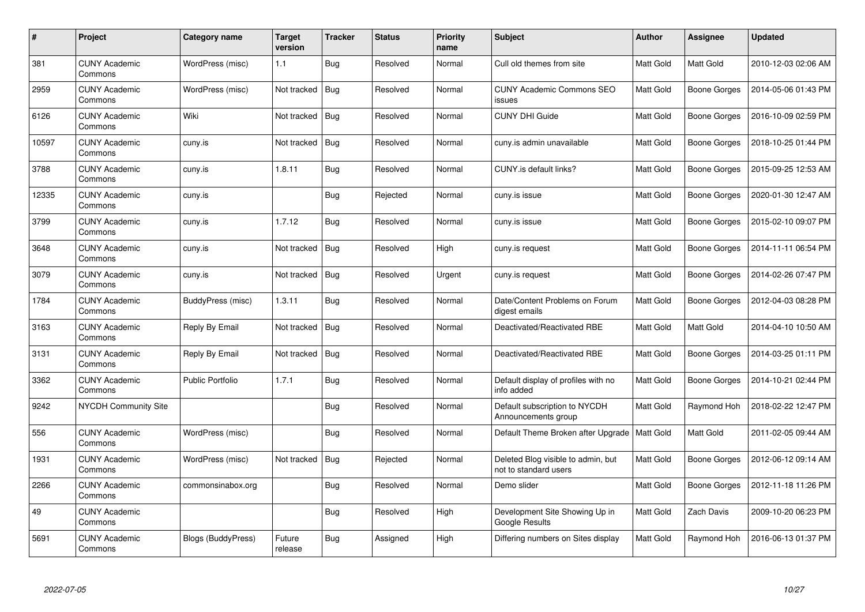| $\#$  | Project                         | Category name           | <b>Target</b><br>version | <b>Tracker</b> | <b>Status</b> | <b>Priority</b><br>name | <b>Subject</b>                                              | <b>Author</b>    | Assignee            | <b>Updated</b>      |
|-------|---------------------------------|-------------------------|--------------------------|----------------|---------------|-------------------------|-------------------------------------------------------------|------------------|---------------------|---------------------|
| 381   | <b>CUNY Academic</b><br>Commons | WordPress (misc)        | 1.1                      | Bug            | Resolved      | Normal                  | Cull old themes from site                                   | Matt Gold        | Matt Gold           | 2010-12-03 02:06 AM |
| 2959  | <b>CUNY Academic</b><br>Commons | WordPress (misc)        | Not tracked              | <b>Bug</b>     | Resolved      | Normal                  | <b>CUNY Academic Commons SEO</b><br>issues                  | <b>Matt Gold</b> | <b>Boone Gorges</b> | 2014-05-06 01:43 PM |
| 6126  | <b>CUNY Academic</b><br>Commons | Wiki                    | Not tracked              | <b>Bug</b>     | Resolved      | Normal                  | <b>CUNY DHI Guide</b>                                       | <b>Matt Gold</b> | <b>Boone Gorges</b> | 2016-10-09 02:59 PM |
| 10597 | <b>CUNY Academic</b><br>Commons | cuny.is                 | Not tracked              | Bug            | Resolved      | Normal                  | cuny.is admin unavailable                                   | Matt Gold        | <b>Boone Gorges</b> | 2018-10-25 01:44 PM |
| 3788  | <b>CUNY Academic</b><br>Commons | cuny.is                 | 1.8.11                   | <b>Bug</b>     | Resolved      | Normal                  | CUNY.is default links?                                      | Matt Gold        | Boone Gorges        | 2015-09-25 12:53 AM |
| 12335 | <b>CUNY Academic</b><br>Commons | cuny.is                 |                          | Bug            | Rejected      | Normal                  | cuny.is issue                                               | Matt Gold        | Boone Gorges        | 2020-01-30 12:47 AM |
| 3799  | <b>CUNY Academic</b><br>Commons | cuny.is                 | 1.7.12                   | Bug            | Resolved      | Normal                  | cuny.is issue                                               | Matt Gold        | <b>Boone Gorges</b> | 2015-02-10 09:07 PM |
| 3648  | <b>CUNY Academic</b><br>Commons | cuny.is                 | Not tracked              | Bug            | Resolved      | High                    | cuny.is request                                             | Matt Gold        | Boone Gorges        | 2014-11-11 06:54 PM |
| 3079  | <b>CUNY Academic</b><br>Commons | cuny.is                 | Not tracked              | Bug            | Resolved      | Urgent                  | cuny.is request                                             | Matt Gold        | <b>Boone Gorges</b> | 2014-02-26 07:47 PM |
| 1784  | <b>CUNY Academic</b><br>Commons | BuddyPress (misc)       | 1.3.11                   | Bug            | Resolved      | Normal                  | Date/Content Problems on Forum<br>digest emails             | Matt Gold        | <b>Boone Gorges</b> | 2012-04-03 08:28 PM |
| 3163  | <b>CUNY Academic</b><br>Commons | Reply By Email          | Not tracked              | Bug            | Resolved      | Normal                  | Deactivated/Reactivated RBE                                 | Matt Gold        | Matt Gold           | 2014-04-10 10:50 AM |
| 3131  | <b>CUNY Academic</b><br>Commons | Reply By Email          | Not tracked              | Bug            | Resolved      | Normal                  | Deactivated/Reactivated RBE                                 | Matt Gold        | Boone Gorges        | 2014-03-25 01:11 PM |
| 3362  | <b>CUNY Academic</b><br>Commons | <b>Public Portfolio</b> | 1.7.1                    | <b>Bug</b>     | Resolved      | Normal                  | Default display of profiles with no<br>info added           | Matt Gold        | Boone Gorges        | 2014-10-21 02:44 PM |
| 9242  | <b>NYCDH Community Site</b>     |                         |                          | <b>Bug</b>     | Resolved      | Normal                  | Default subscription to NYCDH<br>Announcements group        | Matt Gold        | Raymond Hoh         | 2018-02-22 12:47 PM |
| 556   | <b>CUNY Academic</b><br>Commons | WordPress (misc)        |                          | <b>Bug</b>     | Resolved      | Normal                  | Default Theme Broken after Upgrade   Matt Gold              |                  | Matt Gold           | 2011-02-05 09:44 AM |
| 1931  | <b>CUNY Academic</b><br>Commons | WordPress (misc)        | Not tracked              | Bug            | Rejected      | Normal                  | Deleted Blog visible to admin, but<br>not to standard users | Matt Gold        | Boone Gorges        | 2012-06-12 09:14 AM |
| 2266  | <b>CUNY Academic</b><br>Commons | commonsinabox.org       |                          | <b>Bug</b>     | Resolved      | Normal                  | Demo slider                                                 | Matt Gold        | Boone Gorges        | 2012-11-18 11:26 PM |
| 49    | <b>CUNY Academic</b><br>Commons |                         |                          | <b>Bug</b>     | Resolved      | High                    | Development Site Showing Up in<br>Google Results            | Matt Gold        | Zach Davis          | 2009-10-20 06:23 PM |
| 5691  | <b>CUNY Academic</b><br>Commons | Blogs (BuddyPress)      | Future<br>release        | Bug            | Assigned      | High                    | Differing numbers on Sites display                          | <b>Matt Gold</b> | Raymond Hoh         | 2016-06-13 01:37 PM |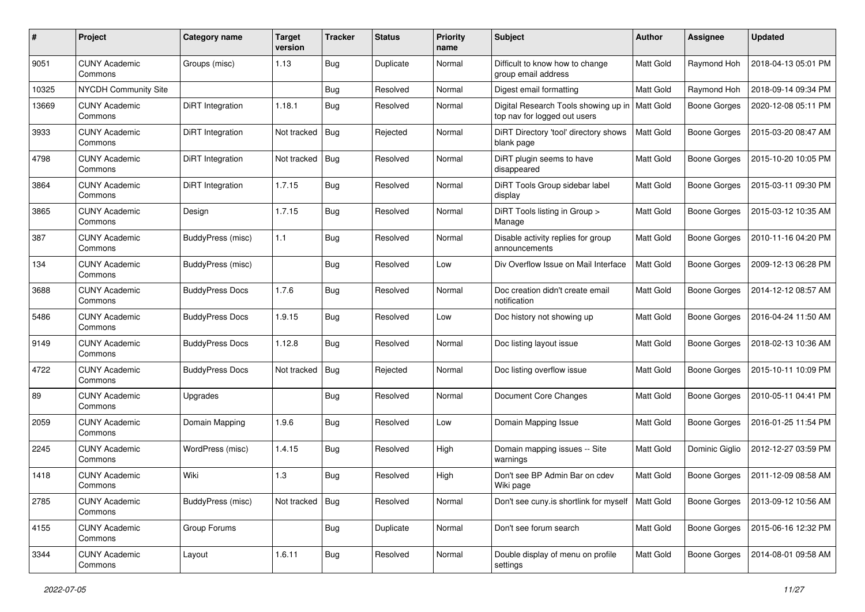| #     | Project                         | Category name            | <b>Target</b><br>version | <b>Tracker</b> | <b>Status</b> | <b>Priority</b><br>name | Subject                                                              | Author           | <b>Assignee</b>     | <b>Updated</b>      |
|-------|---------------------------------|--------------------------|--------------------------|----------------|---------------|-------------------------|----------------------------------------------------------------------|------------------|---------------------|---------------------|
| 9051  | <b>CUNY Academic</b><br>Commons | Groups (misc)            | 1.13                     | Bug            | Duplicate     | Normal                  | Difficult to know how to change<br>group email address               | <b>Matt Gold</b> | Raymond Hoh         | 2018-04-13 05:01 PM |
| 10325 | <b>NYCDH Community Site</b>     |                          |                          | Bug            | Resolved      | Normal                  | Digest email formatting                                              | Matt Gold        | Raymond Hoh         | 2018-09-14 09:34 PM |
| 13669 | <b>CUNY Academic</b><br>Commons | DiRT Integration         | 1.18.1                   | <b>Bug</b>     | Resolved      | Normal                  | Digital Research Tools showing up in<br>top nav for logged out users | <b>Matt Gold</b> | Boone Gorges        | 2020-12-08 05:11 PM |
| 3933  | <b>CUNY Academic</b><br>Commons | DiRT Integration         | Not tracked              | Bug            | Rejected      | Normal                  | DiRT Directory 'tool' directory shows<br>blank page                  | Matt Gold        | <b>Boone Gorges</b> | 2015-03-20 08:47 AM |
| 4798  | <b>CUNY Academic</b><br>Commons | DiRT Integration         | Not tracked              | Bug            | Resolved      | Normal                  | DiRT plugin seems to have<br>disappeared                             | Matt Gold        | Boone Gorges        | 2015-10-20 10:05 PM |
| 3864  | <b>CUNY Academic</b><br>Commons | DiRT Integration         | 1.7.15                   | <b>Bug</b>     | Resolved      | Normal                  | DiRT Tools Group sidebar label<br>display                            | <b>Matt Gold</b> | <b>Boone Gorges</b> | 2015-03-11 09:30 PM |
| 3865  | <b>CUNY Academic</b><br>Commons | Design                   | 1.7.15                   | Bug            | Resolved      | Normal                  | DiRT Tools listing in Group ><br>Manage                              | Matt Gold        | <b>Boone Gorges</b> | 2015-03-12 10:35 AM |
| 387   | <b>CUNY Academic</b><br>Commons | <b>BuddyPress (misc)</b> | 1.1                      | Bug            | Resolved      | Normal                  | Disable activity replies for group<br>announcements                  | Matt Gold        | <b>Boone Gorges</b> | 2010-11-16 04:20 PM |
| 134   | <b>CUNY Academic</b><br>Commons | BuddyPress (misc)        |                          | Bug            | Resolved      | Low                     | Div Overflow Issue on Mail Interface                                 | Matt Gold        | Boone Gorges        | 2009-12-13 06:28 PM |
| 3688  | <b>CUNY Academic</b><br>Commons | <b>BuddyPress Docs</b>   | 1.7.6                    | Bug            | Resolved      | Normal                  | Doc creation didn't create email<br>notification                     | Matt Gold        | Boone Gorges        | 2014-12-12 08:57 AM |
| 5486  | <b>CUNY Academic</b><br>Commons | <b>BuddyPress Docs</b>   | 1.9.15                   | <b>Bug</b>     | Resolved      | Low                     | Doc history not showing up                                           | Matt Gold        | <b>Boone Gorges</b> | 2016-04-24 11:50 AM |
| 9149  | <b>CUNY Academic</b><br>Commons | <b>BuddyPress Docs</b>   | 1.12.8                   | Bug            | Resolved      | Normal                  | Doc listing layout issue                                             | Matt Gold        | Boone Gorges        | 2018-02-13 10:36 AM |
| 4722  | <b>CUNY Academic</b><br>Commons | <b>BuddyPress Docs</b>   | Not tracked              | Bug            | Rejected      | Normal                  | Doc listing overflow issue                                           | Matt Gold        | <b>Boone Gorges</b> | 2015-10-11 10:09 PM |
| 89    | <b>CUNY Academic</b><br>Commons | Upgrades                 |                          | Bug            | Resolved      | Normal                  | Document Core Changes                                                | Matt Gold        | <b>Boone Gorges</b> | 2010-05-11 04:41 PM |
| 2059  | <b>CUNY Academic</b><br>Commons | Domain Mapping           | 1.9.6                    | Bug            | Resolved      | Low                     | Domain Mapping Issue                                                 | Matt Gold        | <b>Boone Gorges</b> | 2016-01-25 11:54 PM |
| 2245  | <b>CUNY Academic</b><br>Commons | WordPress (misc)         | 1.4.15                   | <b>Bug</b>     | Resolved      | High                    | Domain mapping issues -- Site<br>warnings                            | Matt Gold        | Dominic Giglio      | 2012-12-27 03:59 PM |
| 1418  | <b>CUNY Academic</b><br>Commons | Wiki                     | 1.3                      | Bug            | Resolved      | High                    | Don't see BP Admin Bar on cdev<br>Wiki page                          | Matt Gold        | <b>Boone Gorges</b> | 2011-12-09 08:58 AM |
| 2785  | <b>CUNY Academic</b><br>Commons | BuddyPress (misc)        | Not tracked              | Bug            | Resolved      | Normal                  | Don't see cuny is shortlink for myself   Matt Gold                   |                  | <b>Boone Gorges</b> | 2013-09-12 10:56 AM |
| 4155  | <b>CUNY Academic</b><br>Commons | Group Forums             |                          | <b>Bug</b>     | Duplicate     | Normal                  | Don't see forum search                                               | Matt Gold        | Boone Gorges        | 2015-06-16 12:32 PM |
| 3344  | <b>CUNY Academic</b><br>Commons | Layout                   | 1.6.11                   | <b>Bug</b>     | Resolved      | Normal                  | Double display of menu on profile<br>settings                        | Matt Gold        | Boone Gorges        | 2014-08-01 09:58 AM |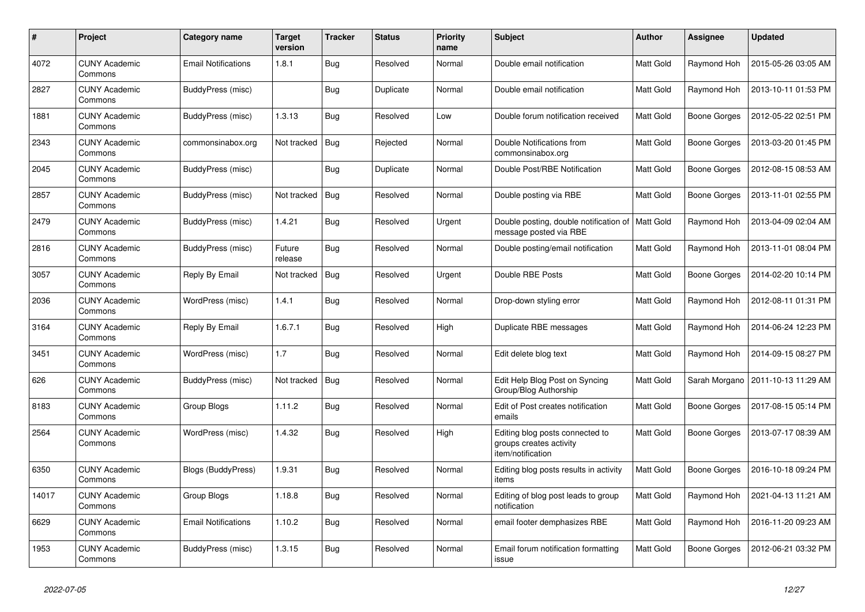| #     | Project                         | Category name              | <b>Target</b><br>version | <b>Tracker</b> | <b>Status</b> | <b>Priority</b><br>name | <b>Subject</b>                                                                  | <b>Author</b> | Assignee            | <b>Updated</b>      |
|-------|---------------------------------|----------------------------|--------------------------|----------------|---------------|-------------------------|---------------------------------------------------------------------------------|---------------|---------------------|---------------------|
| 4072  | <b>CUNY Academic</b><br>Commons | <b>Email Notifications</b> | 1.8.1                    | <b>Bug</b>     | Resolved      | Normal                  | Double email notification                                                       | Matt Gold     | Raymond Hoh         | 2015-05-26 03:05 AM |
| 2827  | <b>CUNY Academic</b><br>Commons | BuddyPress (misc)          |                          | <b>Bug</b>     | Duplicate     | Normal                  | Double email notification                                                       | Matt Gold     | Raymond Hoh         | 2013-10-11 01:53 PM |
| 1881  | <b>CUNY Academic</b><br>Commons | BuddyPress (misc)          | 1.3.13                   | Bug            | Resolved      | Low                     | Double forum notification received                                              | Matt Gold     | Boone Gorges        | 2012-05-22 02:51 PM |
| 2343  | <b>CUNY Academic</b><br>Commons | commonsinabox.org          | Not tracked              | <b>Bug</b>     | Rejected      | Normal                  | Double Notifications from<br>commonsinabox.org                                  | Matt Gold     | <b>Boone Gorges</b> | 2013-03-20 01:45 PM |
| 2045  | <b>CUNY Academic</b><br>Commons | BuddyPress (misc)          |                          | Bug            | Duplicate     | Normal                  | Double Post/RBE Notification                                                    | Matt Gold     | Boone Gorges        | 2012-08-15 08:53 AM |
| 2857  | <b>CUNY Academic</b><br>Commons | BuddyPress (misc)          | Not tracked              | Bug            | Resolved      | Normal                  | Double posting via RBE                                                          | Matt Gold     | Boone Gorges        | 2013-11-01 02:55 PM |
| 2479  | <b>CUNY Academic</b><br>Commons | BuddyPress (misc)          | 1.4.21                   | Bug            | Resolved      | Urgent                  | Double posting, double notification of   Matt Gold<br>message posted via RBE    |               | Raymond Hoh         | 2013-04-09 02:04 AM |
| 2816  | <b>CUNY Academic</b><br>Commons | BuddyPress (misc)          | Future<br>release        | Bug            | Resolved      | Normal                  | Double posting/email notification                                               | Matt Gold     | Raymond Hoh         | 2013-11-01 08:04 PM |
| 3057  | CUNY Academic<br>Commons        | Reply By Email             | Not tracked              | <b>Bug</b>     | Resolved      | Urgent                  | Double RBE Posts                                                                | Matt Gold     | Boone Gorges        | 2014-02-20 10:14 PM |
| 2036  | <b>CUNY Academic</b><br>Commons | WordPress (misc)           | 1.4.1                    | <b>Bug</b>     | Resolved      | Normal                  | Drop-down styling error                                                         | Matt Gold     | Raymond Hoh         | 2012-08-11 01:31 PM |
| 3164  | <b>CUNY Academic</b><br>Commons | Reply By Email             | 1.6.7.1                  | <b>Bug</b>     | Resolved      | High                    | Duplicate RBE messages                                                          | Matt Gold     | Raymond Hoh         | 2014-06-24 12:23 PM |
| 3451  | <b>CUNY Academic</b><br>Commons | WordPress (misc)           | 1.7                      | <b>Bug</b>     | Resolved      | Normal                  | Edit delete blog text                                                           | Matt Gold     | Raymond Hoh         | 2014-09-15 08:27 PM |
| 626   | <b>CUNY Academic</b><br>Commons | BuddyPress (misc)          | Not tracked              | Bug            | Resolved      | Normal                  | Edit Help Blog Post on Syncing<br>Group/Blog Authorship                         | Matt Gold     | Sarah Morgano       | 2011-10-13 11:29 AM |
| 8183  | <b>CUNY Academic</b><br>Commons | Group Blogs                | 1.11.2                   | Bug            | Resolved      | Normal                  | Edit of Post creates notification<br>emails                                     | Matt Gold     | Boone Gorges        | 2017-08-15 05:14 PM |
| 2564  | <b>CUNY Academic</b><br>Commons | WordPress (misc)           | 1.4.32                   | Bug            | Resolved      | High                    | Editing blog posts connected to<br>groups creates activity<br>item/notification | Matt Gold     | Boone Gorges        | 2013-07-17 08:39 AM |
| 6350  | <b>CUNY Academic</b><br>Commons | <b>Blogs (BuddyPress)</b>  | 1.9.31                   | Bug            | Resolved      | Normal                  | Editing blog posts results in activity<br>items                                 | Matt Gold     | Boone Gorges        | 2016-10-18 09:24 PM |
| 14017 | <b>CUNY Academic</b><br>Commons | Group Blogs                | 1.18.8                   | <b>Bug</b>     | Resolved      | Normal                  | Editing of blog post leads to group<br>notification                             | Matt Gold     | Raymond Hoh         | 2021-04-13 11:21 AM |
| 6629  | <b>CUNY Academic</b><br>Commons | <b>Email Notifications</b> | 1.10.2                   | Bug            | Resolved      | Normal                  | email footer demphasizes RBE                                                    | Matt Gold     | Raymond Hoh         | 2016-11-20 09:23 AM |
| 1953  | <b>CUNY Academic</b><br>Commons | BuddyPress (misc)          | 1.3.15                   | Bug            | Resolved      | Normal                  | Email forum notification formatting<br>issue                                    | Matt Gold     | <b>Boone Gorges</b> | 2012-06-21 03:32 PM |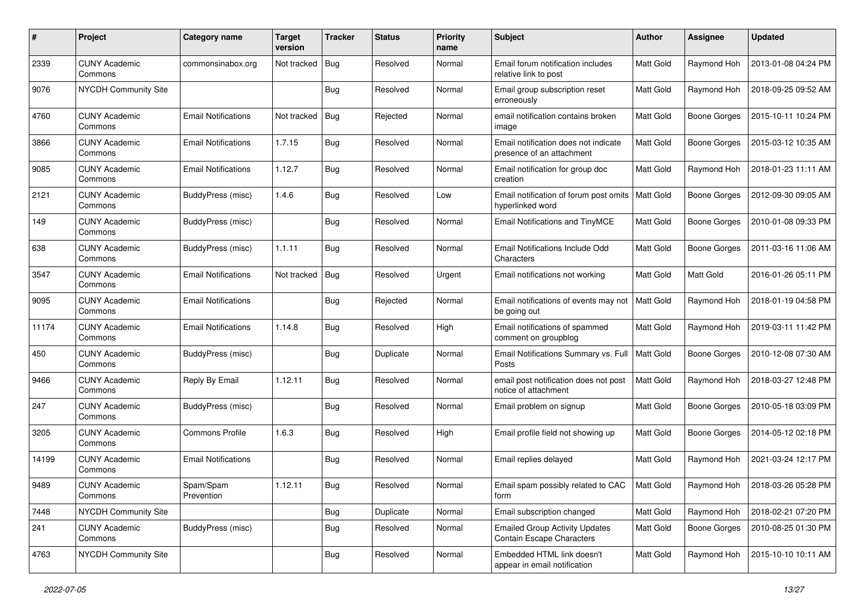| #     | Project                         | Category name              | <b>Target</b><br>version | <b>Tracker</b> | <b>Status</b> | <b>Priority</b><br>name | Subject                                                                   | Author           | Assignee            | <b>Updated</b>      |
|-------|---------------------------------|----------------------------|--------------------------|----------------|---------------|-------------------------|---------------------------------------------------------------------------|------------------|---------------------|---------------------|
| 2339  | <b>CUNY Academic</b><br>Commons | commonsinabox.org          | Not tracked              | Bug            | Resolved      | Normal                  | Email forum notification includes<br>relative link to post                | Matt Gold        | Raymond Hoh         | 2013-01-08 04:24 PM |
| 9076  | NYCDH Community Site            |                            |                          | <b>Bug</b>     | Resolved      | Normal                  | Email group subscription reset<br>erroneously                             | Matt Gold        | Raymond Hoh         | 2018-09-25 09:52 AM |
| 4760  | <b>CUNY Academic</b><br>Commons | <b>Email Notifications</b> | Not tracked              | Bug            | Rejected      | Normal                  | email notification contains broken<br>image                               | Matt Gold        | <b>Boone Gorges</b> | 2015-10-11 10:24 PM |
| 3866  | <b>CUNY Academic</b><br>Commons | <b>Email Notifications</b> | 1.7.15                   | Bug            | Resolved      | Normal                  | Email notification does not indicate<br>presence of an attachment         | <b>Matt Gold</b> | <b>Boone Gorges</b> | 2015-03-12 10:35 AM |
| 9085  | <b>CUNY Academic</b><br>Commons | <b>Email Notifications</b> | 1.12.7                   | Bug            | Resolved      | Normal                  | Email notification for group doc<br>creation                              | Matt Gold        | Raymond Hoh         | 2018-01-23 11:11 AM |
| 2121  | <b>CUNY Academic</b><br>Commons | BuddyPress (misc)          | 1.4.6                    | Bug            | Resolved      | Low                     | Email notification of forum post omits<br>hyperlinked word                | Matt Gold        | <b>Boone Gorges</b> | 2012-09-30 09:05 AM |
| 149   | <b>CUNY Academic</b><br>Commons | BuddyPress (misc)          |                          | Bug            | Resolved      | Normal                  | Email Notifications and TinyMCE                                           | Matt Gold        | <b>Boone Gorges</b> | 2010-01-08 09:33 PM |
| 638   | <b>CUNY Academic</b><br>Commons | BuddyPress (misc)          | 1.1.11                   | Bug            | Resolved      | Normal                  | Email Notifications Include Odd<br>Characters                             | <b>Matt Gold</b> | <b>Boone Gorges</b> | 2011-03-16 11:06 AM |
| 3547  | <b>CUNY Academic</b><br>Commons | <b>Email Notifications</b> | Not tracked              | Bug            | Resolved      | Urgent                  | Email notifications not working                                           | Matt Gold        | Matt Gold           | 2016-01-26 05:11 PM |
| 9095  | <b>CUNY Academic</b><br>Commons | <b>Email Notifications</b> |                          | <b>Bug</b>     | Rejected      | Normal                  | Email notifications of events may not<br>be going out                     | <b>Matt Gold</b> | Raymond Hoh         | 2018-01-19 04:58 PM |
| 11174 | <b>CUNY Academic</b><br>Commons | <b>Email Notifications</b> | 1.14.8                   | Bug            | Resolved      | High                    | Email notifications of spammed<br>comment on groupblog                    | <b>Matt Gold</b> | Raymond Hoh         | 2019-03-11 11:42 PM |
| 450   | <b>CUNY Academic</b><br>Commons | BuddyPress (misc)          |                          | Bug            | Duplicate     | Normal                  | Email Notifications Summary vs. Full<br>Posts                             | <b>Matt Gold</b> | <b>Boone Gorges</b> | 2010-12-08 07:30 AM |
| 9466  | <b>CUNY Academic</b><br>Commons | Reply By Email             | 1.12.11                  | Bug            | Resolved      | Normal                  | email post notification does not post<br>notice of attachment             | Matt Gold        | Raymond Hoh         | 2018-03-27 12:48 PM |
| 247   | <b>CUNY Academic</b><br>Commons | BuddyPress (misc)          |                          | Bug            | Resolved      | Normal                  | Email problem on signup                                                   | Matt Gold        | <b>Boone Gorges</b> | 2010-05-18 03:09 PM |
| 3205  | <b>CUNY Academic</b><br>Commons | <b>Commons Profile</b>     | 1.6.3                    | Bug            | Resolved      | High                    | Email profile field not showing up                                        | Matt Gold        | <b>Boone Gorges</b> | 2014-05-12 02:18 PM |
| 14199 | <b>CUNY Academic</b><br>Commons | <b>Email Notifications</b> |                          | <b>Bug</b>     | Resolved      | Normal                  | Email replies delayed                                                     | Matt Gold        | Raymond Hoh         | 2021-03-24 12:17 PM |
| 9489  | <b>CUNY Academic</b><br>Commons | Spam/Spam<br>Prevention    | 1.12.11                  | <b>Bug</b>     | Resolved      | Normal                  | Email spam possibly related to CAC<br>form                                | <b>Matt Gold</b> | Raymond Hoh         | 2018-03-26 05:28 PM |
| 7448  | NYCDH Community Site            |                            |                          | <b>Bug</b>     | Duplicate     | Normal                  | Email subscription changed                                                | Matt Gold        | Raymond Hoh         | 2018-02-21 07:20 PM |
| 241   | <b>CUNY Academic</b><br>Commons | BuddyPress (misc)          |                          | Bug            | Resolved      | Normal                  | <b>Emailed Group Activity Updates</b><br><b>Contain Escape Characters</b> | Matt Gold        | <b>Boone Gorges</b> | 2010-08-25 01:30 PM |
| 4763  | NYCDH Community Site            |                            |                          | <b>Bug</b>     | Resolved      | Normal                  | Embedded HTML link doesn't<br>appear in email notification                | Matt Gold        | Raymond Hoh         | 2015-10-10 10:11 AM |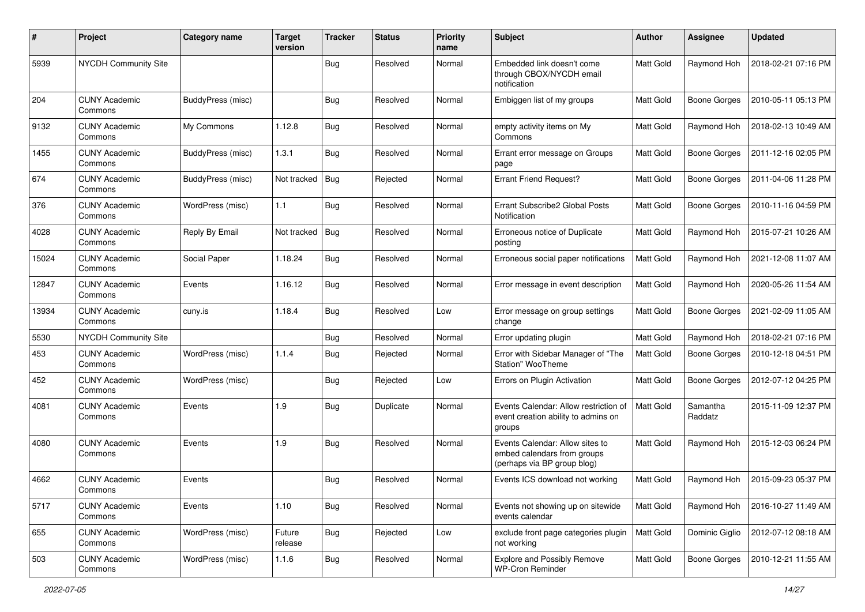| #     | Project                         | Category name            | <b>Target</b><br>version | <b>Tracker</b> | <b>Status</b> | <b>Priority</b><br>name | <b>Subject</b>                                                                                | Author           | <b>Assignee</b>     | <b>Updated</b>      |
|-------|---------------------------------|--------------------------|--------------------------|----------------|---------------|-------------------------|-----------------------------------------------------------------------------------------------|------------------|---------------------|---------------------|
| 5939  | NYCDH Community Site            |                          |                          | Bug            | Resolved      | Normal                  | Embedded link doesn't come<br>through CBOX/NYCDH email<br>notification                        | <b>Matt Gold</b> | Raymond Hoh         | 2018-02-21 07:16 PM |
| 204   | <b>CUNY Academic</b><br>Commons | <b>BuddyPress (misc)</b> |                          | Bug            | Resolved      | Normal                  | Embiggen list of my groups                                                                    | <b>Matt Gold</b> | <b>Boone Gorges</b> | 2010-05-11 05:13 PM |
| 9132  | <b>CUNY Academic</b><br>Commons | My Commons               | 1.12.8                   | Bug            | Resolved      | Normal                  | empty activity items on My<br>Commons                                                         | Matt Gold        | Raymond Hoh         | 2018-02-13 10:49 AM |
| 1455  | <b>CUNY Academic</b><br>Commons | BuddyPress (misc)        | 1.3.1                    | Bug            | Resolved      | Normal                  | Errant error message on Groups<br>page                                                        | <b>Matt Gold</b> | <b>Boone Gorges</b> | 2011-12-16 02:05 PM |
| 674   | <b>CUNY Academic</b><br>Commons | BuddyPress (misc)        | Not tracked              | Bug            | Rejected      | Normal                  | <b>Errant Friend Request?</b>                                                                 | <b>Matt Gold</b> | <b>Boone Gorges</b> | 2011-04-06 11:28 PM |
| 376   | <b>CUNY Academic</b><br>Commons | WordPress (misc)         | 1.1                      | Bug            | Resolved      | Normal                  | Errant Subscribe2 Global Posts<br>Notification                                                | <b>Matt Gold</b> | <b>Boone Gorges</b> | 2010-11-16 04:59 PM |
| 4028  | <b>CUNY Academic</b><br>Commons | Reply By Email           | Not tracked              | Bug            | Resolved      | Normal                  | Erroneous notice of Duplicate<br>posting                                                      | Matt Gold        | Raymond Hoh         | 2015-07-21 10:26 AM |
| 15024 | <b>CUNY Academic</b><br>Commons | Social Paper             | 1.18.24                  | Bug            | Resolved      | Normal                  | Erroneous social paper notifications                                                          | Matt Gold        | Raymond Hoh         | 2021-12-08 11:07 AM |
| 12847 | <b>CUNY Academic</b><br>Commons | Events                   | 1.16.12                  | Bug            | Resolved      | Normal                  | Error message in event description                                                            | <b>Matt Gold</b> | Raymond Hoh         | 2020-05-26 11:54 AM |
| 13934 | <b>CUNY Academic</b><br>Commons | cuny.is                  | 1.18.4                   | Bug            | Resolved      | Low                     | Error message on group settings<br>change                                                     | Matt Gold        | <b>Boone Gorges</b> | 2021-02-09 11:05 AM |
| 5530  | <b>NYCDH Community Site</b>     |                          |                          | Bug            | Resolved      | Normal                  | Error updating plugin                                                                         | Matt Gold        | Raymond Hoh         | 2018-02-21 07:16 PM |
| 453   | <b>CUNY Academic</b><br>Commons | WordPress (misc)         | 1.1.4                    | Bug            | Rejected      | Normal                  | Error with Sidebar Manager of "The<br>Station" WooTheme                                       | <b>Matt Gold</b> | <b>Boone Gorges</b> | 2010-12-18 04:51 PM |
| 452   | <b>CUNY Academic</b><br>Commons | WordPress (misc)         |                          | Bug            | Rejected      | Low                     | Errors on Plugin Activation                                                                   | <b>Matt Gold</b> | <b>Boone Gorges</b> | 2012-07-12 04:25 PM |
| 4081  | <b>CUNY Academic</b><br>Commons | Events                   | 1.9                      | Bug            | Duplicate     | Normal                  | Events Calendar: Allow restriction of<br>event creation ability to admins on<br>groups        | <b>Matt Gold</b> | Samantha<br>Raddatz | 2015-11-09 12:37 PM |
| 4080  | <b>CUNY Academic</b><br>Commons | Events                   | 1.9                      | Bug            | Resolved      | Normal                  | Events Calendar: Allow sites to<br>embed calendars from groups<br>(perhaps via BP group blog) | <b>Matt Gold</b> | Raymond Hoh         | 2015-12-03 06:24 PM |
| 4662  | <b>CUNY Academic</b><br>Commons | Events                   |                          | <b>Bug</b>     | Resolved      | Normal                  | Events ICS download not working                                                               | <b>Matt Gold</b> | Raymond Hoh         | 2015-09-23 05:37 PM |
| 5717  | <b>CUNY Academic</b><br>Commons | Events                   | 1.10                     | <b>Bug</b>     | Resolved      | Normal                  | Events not showing up on sitewide<br>events calendar                                          | Matt Gold        | Raymond Hoh         | 2016-10-27 11:49 AM |
| 655   | <b>CUNY Academic</b><br>Commons | WordPress (misc)         | Future<br>release        | <b>Bug</b>     | Rejected      | Low                     | exclude front page categories plugin<br>not working                                           | <b>Matt Gold</b> | Dominic Giglio      | 2012-07-12 08:18 AM |
| 503   | <b>CUNY Academic</b><br>Commons | WordPress (misc)         | 1.1.6                    | Bug            | Resolved      | Normal                  | <b>Explore and Possibly Remove</b><br><b>WP-Cron Reminder</b>                                 | Matt Gold        | <b>Boone Gorges</b> | 2010-12-21 11:55 AM |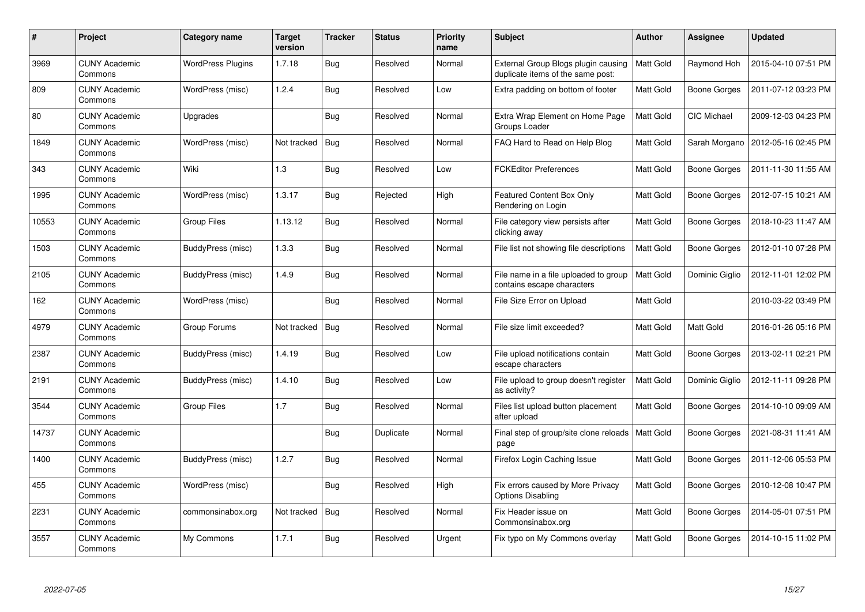| $\#$  | <b>Project</b>                  | Category name            | <b>Target</b><br>version | <b>Tracker</b> | <b>Status</b> | <b>Priority</b><br>name | <b>Subject</b>                                                           | <b>Author</b>    | Assignee            | <b>Updated</b>      |
|-------|---------------------------------|--------------------------|--------------------------|----------------|---------------|-------------------------|--------------------------------------------------------------------------|------------------|---------------------|---------------------|
| 3969  | <b>CUNY Academic</b><br>Commons | <b>WordPress Plugins</b> | 1.7.18                   | <b>Bug</b>     | Resolved      | Normal                  | External Group Blogs plugin causing<br>duplicate items of the same post: | Matt Gold        | Raymond Hoh         | 2015-04-10 07:51 PM |
| 809   | <b>CUNY Academic</b><br>Commons | WordPress (misc)         | 1.2.4                    | Bug            | Resolved      | Low                     | Extra padding on bottom of footer                                        | <b>Matt Gold</b> | <b>Boone Gorges</b> | 2011-07-12 03:23 PM |
| 80    | <b>CUNY Academic</b><br>Commons | Upgrades                 |                          | Bug            | Resolved      | Normal                  | Extra Wrap Element on Home Page<br>Groups Loader                         | Matt Gold        | CIC Michael         | 2009-12-03 04:23 PM |
| 1849  | <b>CUNY Academic</b><br>Commons | WordPress (misc)         | Not tracked              | <b>Bug</b>     | Resolved      | Normal                  | FAQ Hard to Read on Help Blog                                            | Matt Gold        | Sarah Morgano       | 2012-05-16 02:45 PM |
| 343   | <b>CUNY Academic</b><br>Commons | Wiki                     | 1.3                      | Bug            | Resolved      | Low                     | <b>FCKEditor Preferences</b>                                             | <b>Matt Gold</b> | Boone Gorges        | 2011-11-30 11:55 AM |
| 1995  | <b>CUNY Academic</b><br>Commons | WordPress (misc)         | 1.3.17                   | Bug            | Rejected      | High                    | Featured Content Box Only<br>Rendering on Login                          | Matt Gold        | Boone Gorges        | 2012-07-15 10:21 AM |
| 10553 | <b>CUNY Academic</b><br>Commons | <b>Group Files</b>       | 1.13.12                  | Bug            | Resolved      | Normal                  | File category view persists after<br>clicking away                       | Matt Gold        | Boone Gorges        | 2018-10-23 11:47 AM |
| 1503  | <b>CUNY Academic</b><br>Commons | BuddyPress (misc)        | 1.3.3                    | Bug            | Resolved      | Normal                  | File list not showing file descriptions                                  | Matt Gold        | Boone Gorges        | 2012-01-10 07:28 PM |
| 2105  | <b>CUNY Academic</b><br>Commons | BuddyPress (misc)        | 1.4.9                    | Bug            | Resolved      | Normal                  | File name in a file uploaded to group<br>contains escape characters      | <b>Matt Gold</b> | Dominic Giglio      | 2012-11-01 12:02 PM |
| 162   | <b>CUNY Academic</b><br>Commons | WordPress (misc)         |                          | Bug            | Resolved      | Normal                  | File Size Error on Upload                                                | Matt Gold        |                     | 2010-03-22 03:49 PM |
| 4979  | <b>CUNY Academic</b><br>Commons | Group Forums             | Not tracked              | Bug            | Resolved      | Normal                  | File size limit exceeded?                                                | Matt Gold        | Matt Gold           | 2016-01-26 05:16 PM |
| 2387  | <b>CUNY Academic</b><br>Commons | <b>BuddyPress (misc)</b> | 1.4.19                   | Bug            | Resolved      | Low                     | File upload notifications contain<br>escape characters                   | Matt Gold        | <b>Boone Gorges</b> | 2013-02-11 02:21 PM |
| 2191  | <b>CUNY Academic</b><br>Commons | BuddyPress (misc)        | 1.4.10                   | <b>Bug</b>     | Resolved      | Low                     | File upload to group doesn't register<br>as activity?                    | Matt Gold        | Dominic Giglio      | 2012-11-11 09:28 PM |
| 3544  | <b>CUNY Academic</b><br>Commons | Group Files              | 1.7                      | Bug            | Resolved      | Normal                  | Files list upload button placement<br>after upload                       | Matt Gold        | Boone Gorges        | 2014-10-10 09:09 AM |
| 14737 | <b>CUNY Academic</b><br>Commons |                          |                          | Bug            | Duplicate     | Normal                  | Final step of group/site clone reloads<br>page                           | Matt Gold        | <b>Boone Gorges</b> | 2021-08-31 11:41 AM |
| 1400  | <b>CUNY Academic</b><br>Commons | BuddyPress (misc)        | 1.2.7                    | <b>Bug</b>     | Resolved      | Normal                  | Firefox Login Caching Issue                                              | Matt Gold        | Boone Gorges        | 2011-12-06 05:53 PM |
| 455   | <b>CUNY Academic</b><br>Commons | WordPress (misc)         |                          | Bug            | Resolved      | High                    | Fix errors caused by More Privacy<br><b>Options Disabling</b>            | Matt Gold        | Boone Gorges        | 2010-12-08 10:47 PM |
| 2231  | <b>CUNY Academic</b><br>Commons | commonsinabox.org        | Not tracked              | Bug            | Resolved      | Normal                  | Fix Header issue on<br>Commonsinabox.org                                 | Matt Gold        | <b>Boone Gorges</b> | 2014-05-01 07:51 PM |
| 3557  | <b>CUNY Academic</b><br>Commons | My Commons               | 1.7.1                    | <b>Bug</b>     | Resolved      | Urgent                  | Fix typo on My Commons overlay                                           | Matt Gold        | Boone Gorges        | 2014-10-15 11:02 PM |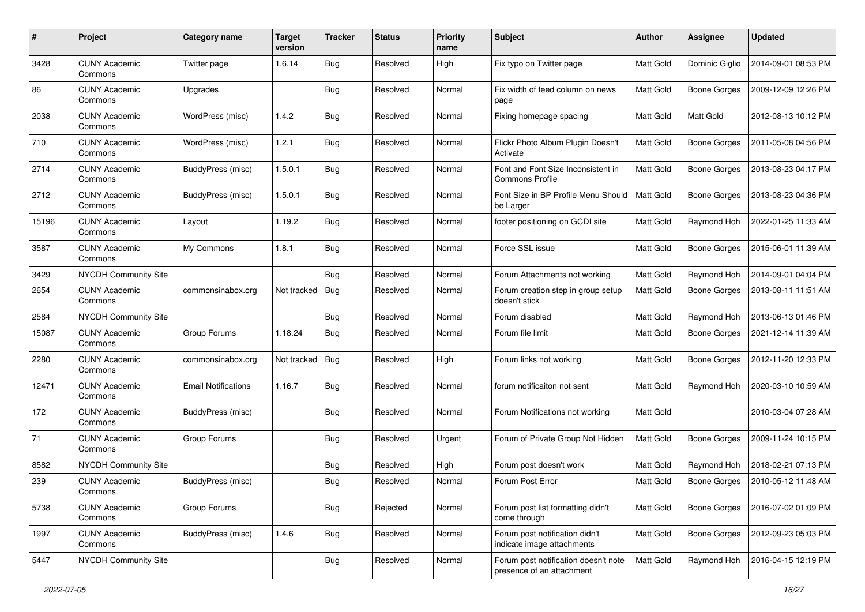| #     | Project                         | Category name              | <b>Target</b><br>version | <b>Tracker</b> | <b>Status</b> | <b>Priority</b><br>name | Subject                                                           | Author           | Assignee            | <b>Updated</b>      |
|-------|---------------------------------|----------------------------|--------------------------|----------------|---------------|-------------------------|-------------------------------------------------------------------|------------------|---------------------|---------------------|
| 3428  | <b>CUNY Academic</b><br>Commons | Twitter page               | 1.6.14                   | Bug            | Resolved      | High                    | Fix typo on Twitter page                                          | Matt Gold        | Dominic Giglio      | 2014-09-01 08:53 PM |
| 86    | <b>CUNY Academic</b><br>Commons | Upgrades                   |                          | <b>Bug</b>     | Resolved      | Normal                  | Fix width of feed column on news<br>page                          | <b>Matt Gold</b> | <b>Boone Gorges</b> | 2009-12-09 12:26 PM |
| 2038  | <b>CUNY Academic</b><br>Commons | WordPress (misc)           | 1.4.2                    | Bug            | Resolved      | Normal                  | Fixing homepage spacing                                           | Matt Gold        | Matt Gold           | 2012-08-13 10:12 PM |
| 710   | <b>CUNY Academic</b><br>Commons | <b>WordPress (misc)</b>    | 1.2.1                    | <b>Bug</b>     | Resolved      | Normal                  | Flickr Photo Album Plugin Doesn't<br>Activate                     | <b>Matt Gold</b> | <b>Boone Gorges</b> | 2011-05-08 04:56 PM |
| 2714  | <b>CUNY Academic</b><br>Commons | BuddyPress (misc)          | 1.5.0.1                  | Bug            | Resolved      | Normal                  | Font and Font Size Inconsistent in<br><b>Commons Profile</b>      | <b>Matt Gold</b> | <b>Boone Gorges</b> | 2013-08-23 04:17 PM |
| 2712  | <b>CUNY Academic</b><br>Commons | BuddyPress (misc)          | 1.5.0.1                  | <b>Bug</b>     | Resolved      | Normal                  | Font Size in BP Profile Menu Should<br>be Larger                  | Matt Gold        | <b>Boone Gorges</b> | 2013-08-23 04:36 PM |
| 15196 | <b>CUNY Academic</b><br>Commons | Layout                     | 1.19.2                   | Bug            | Resolved      | Normal                  | footer positioning on GCDI site                                   | Matt Gold        | Raymond Hoh         | 2022-01-25 11:33 AM |
| 3587  | <b>CUNY Academic</b><br>Commons | My Commons                 | 1.8.1                    | Bug            | Resolved      | Normal                  | Force SSL issue                                                   | Matt Gold        | <b>Boone Gorges</b> | 2015-06-01 11:39 AM |
| 3429  | <b>NYCDH Community Site</b>     |                            |                          | <b>Bug</b>     | Resolved      | Normal                  | Forum Attachments not working                                     | Matt Gold        | Raymond Hoh         | 2014-09-01 04:04 PM |
| 2654  | <b>CUNY Academic</b><br>Commons | commonsinabox.org          | Not tracked              | Bug            | Resolved      | Normal                  | Forum creation step in group setup<br>doesn't stick               | Matt Gold        | <b>Boone Gorges</b> | 2013-08-11 11:51 AM |
| 2584  | NYCDH Community Site            |                            |                          | Bug            | Resolved      | Normal                  | Forum disabled                                                    | Matt Gold        | Raymond Hoh         | 2013-06-13 01:46 PM |
| 15087 | <b>CUNY Academic</b><br>Commons | Group Forums               | 1.18.24                  | Bug            | Resolved      | Normal                  | Forum file limit                                                  | Matt Gold        | <b>Boone Gorges</b> | 2021-12-14 11:39 AM |
| 2280  | <b>CUNY Academic</b><br>Commons | commonsinabox.org          | Not tracked              | <b>Bug</b>     | Resolved      | High                    | Forum links not working                                           | Matt Gold        | <b>Boone Gorges</b> | 2012-11-20 12:33 PM |
| 12471 | <b>CUNY Academic</b><br>Commons | <b>Email Notifications</b> | 1.16.7                   | Bug            | Resolved      | Normal                  | forum notificaiton not sent                                       | Matt Gold        | Raymond Hoh         | 2020-03-10 10:59 AM |
| 172   | <b>CUNY Academic</b><br>Commons | BuddyPress (misc)          |                          | Bug            | Resolved      | Normal                  | Forum Notifications not working                                   | Matt Gold        |                     | 2010-03-04 07:28 AM |
| 71    | <b>CUNY Academic</b><br>Commons | Group Forums               |                          | Bug            | Resolved      | Urgent                  | Forum of Private Group Not Hidden                                 | Matt Gold        | <b>Boone Gorges</b> | 2009-11-24 10:15 PM |
| 8582  | NYCDH Community Site            |                            |                          | <b>Bug</b>     | Resolved      | High                    | Forum post doesn't work                                           | Matt Gold        | Raymond Hoh         | 2018-02-21 07:13 PM |
| 239   | <b>CUNY Academic</b><br>Commons | BuddyPress (misc)          |                          | <b>Bug</b>     | Resolved      | Normal                  | Forum Post Error                                                  | Matt Gold        | <b>Boone Gorges</b> | 2010-05-12 11:48 AM |
| 5738  | <b>CUNY Academic</b><br>Commons | Group Forums               |                          | <b>Bug</b>     | Rejected      | Normal                  | Forum post list formatting didn't<br>come through                 | Matt Gold        | Boone Gorges        | 2016-07-02 01:09 PM |
| 1997  | <b>CUNY Academic</b><br>Commons | BuddyPress (misc)          | 1.4.6                    | <b>Bug</b>     | Resolved      | Normal                  | Forum post notification didn't<br>indicate image attachments      | Matt Gold        | <b>Boone Gorges</b> | 2012-09-23 05:03 PM |
| 5447  | NYCDH Community Site            |                            |                          | <b>Bug</b>     | Resolved      | Normal                  | Forum post notification doesn't note<br>presence of an attachment | Matt Gold        | Raymond Hoh         | 2016-04-15 12:19 PM |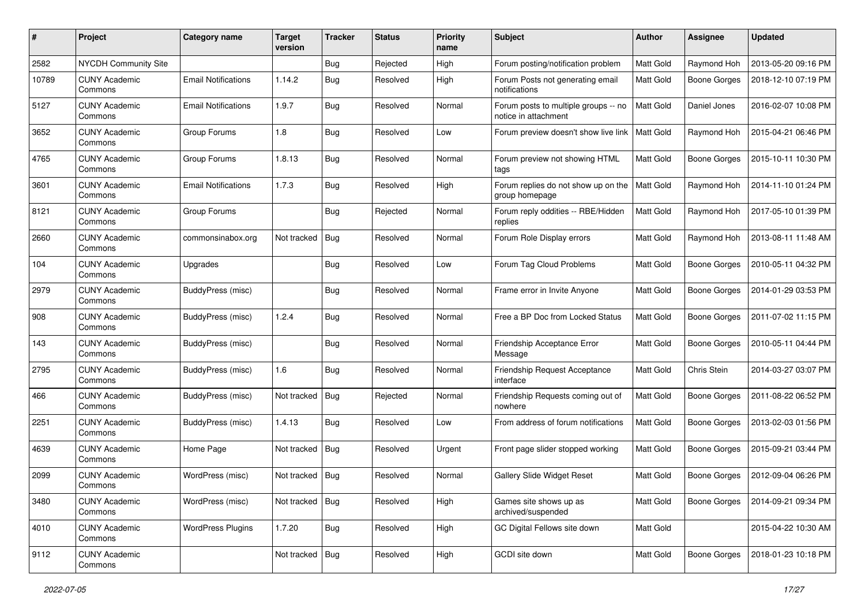| #     | Project                         | Category name              | Target<br>version | <b>Tracker</b> | <b>Status</b> | <b>Priority</b><br>name | <b>Subject</b>                                               | Author           | <b>Assignee</b>     | <b>Updated</b>      |
|-------|---------------------------------|----------------------------|-------------------|----------------|---------------|-------------------------|--------------------------------------------------------------|------------------|---------------------|---------------------|
| 2582  | <b>NYCDH Community Site</b>     |                            |                   | Bug            | Rejected      | High                    | Forum posting/notification problem                           | Matt Gold        | Raymond Hoh         | 2013-05-20 09:16 PM |
| 10789 | <b>CUNY Academic</b><br>Commons | <b>Email Notifications</b> | 1.14.2            | <b>Bug</b>     | Resolved      | High                    | Forum Posts not generating email<br>notifications            | Matt Gold        | <b>Boone Gorges</b> | 2018-12-10 07:19 PM |
| 5127  | <b>CUNY Academic</b><br>Commons | <b>Email Notifications</b> | 1.9.7             | Bug            | Resolved      | Normal                  | Forum posts to multiple groups -- no<br>notice in attachment | <b>Matt Gold</b> | Daniel Jones        | 2016-02-07 10:08 PM |
| 3652  | <b>CUNY Academic</b><br>Commons | Group Forums               | 1.8               | <b>Bug</b>     | Resolved      | Low                     | Forum preview doesn't show live link                         | <b>Matt Gold</b> | Raymond Hoh         | 2015-04-21 06:46 PM |
| 4765  | <b>CUNY Academic</b><br>Commons | Group Forums               | 1.8.13            | <b>Bug</b>     | Resolved      | Normal                  | Forum preview not showing HTML<br>tags                       | Matt Gold        | Boone Gorges        | 2015-10-11 10:30 PM |
| 3601  | <b>CUNY Academic</b><br>Commons | <b>Email Notifications</b> | 1.7.3             | Bug            | Resolved      | High                    | Forum replies do not show up on the<br>group homepage        | Matt Gold        | Raymond Hoh         | 2014-11-10 01:24 PM |
| 8121  | <b>CUNY Academic</b><br>Commons | Group Forums               |                   | Bug            | Rejected      | Normal                  | Forum reply oddities -- RBE/Hidden<br>replies                | <b>Matt Gold</b> | Raymond Hoh         | 2017-05-10 01:39 PM |
| 2660  | <b>CUNY Academic</b><br>Commons | commonsinabox.org          | Not tracked       | Bug            | Resolved      | Normal                  | Forum Role Display errors                                    | Matt Gold        | Raymond Hoh         | 2013-08-11 11:48 AM |
| 104   | CUNY Academic<br>Commons        | Upgrades                   |                   | <b>Bug</b>     | Resolved      | Low                     | Forum Tag Cloud Problems                                     | <b>Matt Gold</b> | <b>Boone Gorges</b> | 2010-05-11 04:32 PM |
| 2979  | <b>CUNY Academic</b><br>Commons | BuddyPress (misc)          |                   | Bug            | Resolved      | Normal                  | Frame error in Invite Anyone                                 | <b>Matt Gold</b> | <b>Boone Gorges</b> | 2014-01-29 03:53 PM |
| 908   | <b>CUNY Academic</b><br>Commons | BuddyPress (misc)          | 1.2.4             | Bug            | Resolved      | Normal                  | Free a BP Doc from Locked Status                             | <b>Matt Gold</b> | <b>Boone Gorges</b> | 2011-07-02 11:15 PM |
| 143   | <b>CUNY Academic</b><br>Commons | BuddyPress (misc)          |                   | <b>Bug</b>     | Resolved      | Normal                  | Friendship Acceptance Error<br>Message                       | Matt Gold        | <b>Boone Gorges</b> | 2010-05-11 04:44 PM |
| 2795  | <b>CUNY Academic</b><br>Commons | BuddyPress (misc)          | 1.6               | Bug            | Resolved      | Normal                  | Friendship Request Acceptance<br>interface                   | Matt Gold        | Chris Stein         | 2014-03-27 03:07 PM |
| 466   | <b>CUNY Academic</b><br>Commons | BuddyPress (misc)          | Not tracked       | Bug            | Rejected      | Normal                  | Friendship Requests coming out of<br>nowhere                 | Matt Gold        | <b>Boone Gorges</b> | 2011-08-22 06:52 PM |
| 2251  | <b>CUNY Academic</b><br>Commons | BuddyPress (misc)          | 1.4.13            | <b>Bug</b>     | Resolved      | Low                     | From address of forum notifications                          | <b>Matt Gold</b> | <b>Boone Gorges</b> | 2013-02-03 01:56 PM |
| 4639  | CUNY Academic<br>Commons        | Home Page                  | Not tracked       | <b>Bug</b>     | Resolved      | Urgent                  | Front page slider stopped working                            | Matt Gold        | <b>Boone Gorges</b> | 2015-09-21 03:44 PM |
| 2099  | <b>CUNY Academic</b><br>Commons | WordPress (misc)           | Not tracked       | Bug            | Resolved      | Normal                  | <b>Gallery Slide Widget Reset</b>                            | Matt Gold        | <b>Boone Gorges</b> | 2012-09-04 06:26 PM |
| 3480  | <b>CUNY Academic</b><br>Commons | WordPress (misc)           | Not tracked       | Bug            | Resolved      | High                    | Games site shows up as<br>archived/suspended                 | Matt Gold        | <b>Boone Gorges</b> | 2014-09-21 09:34 PM |
| 4010  | <b>CUNY Academic</b><br>Commons | <b>WordPress Plugins</b>   | 1.7.20            | <b>Bug</b>     | Resolved      | High                    | GC Digital Fellows site down                                 | Matt Gold        |                     | 2015-04-22 10:30 AM |
| 9112  | <b>CUNY Academic</b><br>Commons |                            | Not tracked       | <b>Bug</b>     | Resolved      | High                    | GCDI site down                                               | Matt Gold        | <b>Boone Gorges</b> | 2018-01-23 10:18 PM |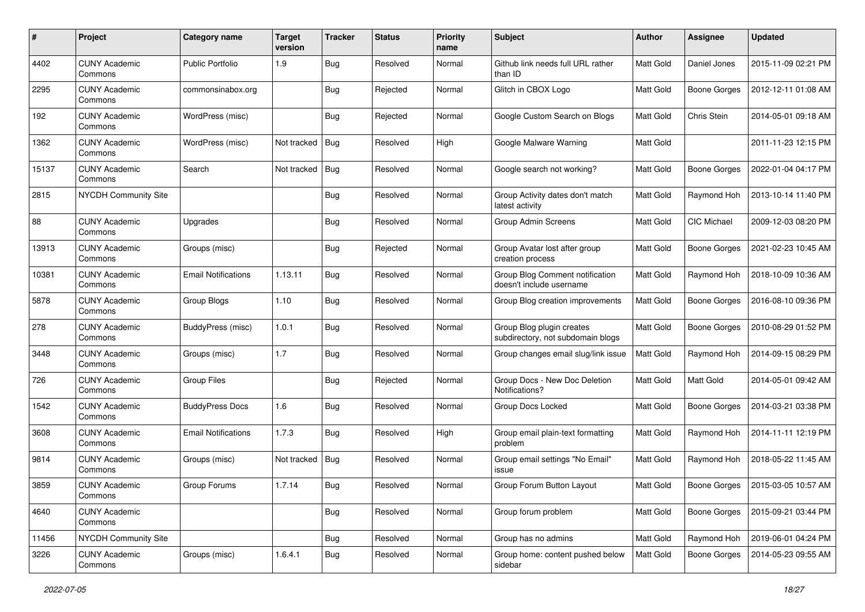| #     | Project                         | Category name              | <b>Target</b><br>version | <b>Tracker</b> | <b>Status</b> | <b>Priority</b><br>name | Subject                                                        | Author           | <b>Assignee</b>     | <b>Updated</b>      |
|-------|---------------------------------|----------------------------|--------------------------|----------------|---------------|-------------------------|----------------------------------------------------------------|------------------|---------------------|---------------------|
| 4402  | <b>CUNY Academic</b><br>Commons | <b>Public Portfolio</b>    | 1.9                      | Bug            | Resolved      | Normal                  | Github link needs full URL rather<br>than ID                   | Matt Gold        | Daniel Jones        | 2015-11-09 02:21 PM |
| 2295  | <b>CUNY Academic</b><br>Commons | commonsinabox.org          |                          | Bug            | Rejected      | Normal                  | Glitch in CBOX Logo                                            | Matt Gold        | <b>Boone Gorges</b> | 2012-12-11 01:08 AM |
| 192   | <b>CUNY Academic</b><br>Commons | WordPress (misc)           |                          | <b>Bug</b>     | Rejected      | Normal                  | Google Custom Search on Blogs                                  | <b>Matt Gold</b> | Chris Stein         | 2014-05-01 09:18 AM |
| 1362  | <b>CUNY Academic</b><br>Commons | WordPress (misc)           | Not tracked              | Bug            | Resolved      | High                    | Google Malware Warning                                         | <b>Matt Gold</b> |                     | 2011-11-23 12:15 PM |
| 15137 | <b>CUNY Academic</b><br>Commons | Search                     | Not tracked              | Bug            | Resolved      | Normal                  | Google search not working?                                     | <b>Matt Gold</b> | <b>Boone Gorges</b> | 2022-01-04 04:17 PM |
| 2815  | NYCDH Community Site            |                            |                          | Bug            | Resolved      | Normal                  | Group Activity dates don't match<br>latest activity            | Matt Gold        | Raymond Hoh         | 2013-10-14 11:40 PM |
| 88    | <b>CUNY Academic</b><br>Commons | Upgrades                   |                          | Bug            | Resolved      | Normal                  | Group Admin Screens                                            | <b>Matt Gold</b> | <b>CIC Michael</b>  | 2009-12-03 08:20 PM |
| 13913 | <b>CUNY Academic</b><br>Commons | Groups (misc)              |                          | Bug            | Rejected      | Normal                  | Group Avatar lost after group<br>creation process              | Matt Gold        | <b>Boone Gorges</b> | 2021-02-23 10:45 AM |
| 10381 | <b>CUNY Academic</b><br>Commons | <b>Email Notifications</b> | 1.13.11                  | <b>Bug</b>     | Resolved      | Normal                  | Group Blog Comment notification<br>doesn't include username    | Matt Gold        | Raymond Hoh         | 2018-10-09 10:36 AM |
| 5878  | <b>CUNY Academic</b><br>Commons | Group Blogs                | 1.10                     | <b>Bug</b>     | Resolved      | Normal                  | Group Blog creation improvements                               | Matt Gold        | <b>Boone Gorges</b> | 2016-08-10 09:36 PM |
| 278   | <b>CUNY Academic</b><br>Commons | BuddyPress (misc)          | 1.0.1                    | <b>Bug</b>     | Resolved      | Normal                  | Group Blog plugin creates<br>subdirectory, not subdomain blogs | Matt Gold        | <b>Boone Gorges</b> | 2010-08-29 01:52 PM |
| 3448  | <b>CUNY Academic</b><br>Commons | Groups (misc)              | 1.7                      | <b>Bug</b>     | Resolved      | Normal                  | Group changes email slug/link issue                            | Matt Gold        | Raymond Hoh         | 2014-09-15 08:29 PM |
| 726   | <b>CUNY Academic</b><br>Commons | <b>Group Files</b>         |                          | Bug            | Rejected      | Normal                  | Group Docs - New Doc Deletion<br>Notifications?                | Matt Gold        | Matt Gold           | 2014-05-01 09:42 AM |
| 1542  | <b>CUNY Academic</b><br>Commons | <b>BuddyPress Docs</b>     | 1.6                      | Bug            | Resolved      | Normal                  | Group Docs Locked                                              | <b>Matt Gold</b> | <b>Boone Gorges</b> | 2014-03-21 03:38 PM |
| 3608  | <b>CUNY Academic</b><br>Commons | <b>Email Notifications</b> | 1.7.3                    | Bug            | Resolved      | High                    | Group email plain-text formatting<br>problem                   | Matt Gold        | Raymond Hoh         | 2014-11-11 12:19 PM |
| 9814  | <b>CUNY Academic</b><br>Commons | Groups (misc)              | Not tracked              | Bug            | Resolved      | Normal                  | Group email settings "No Email"<br>issue                       | Matt Gold        | Raymond Hoh         | 2018-05-22 11:45 AM |
| 3859  | <b>CUNY Academic</b><br>Commons | Group Forums               | 1.7.14                   | Bug            | Resolved      | Normal                  | Group Forum Button Layout                                      | Matt Gold        | <b>Boone Gorges</b> | 2015-03-05 10:57 AM |
| 4640  | <b>CUNY Academic</b><br>Commons |                            |                          | <b>Bug</b>     | Resolved      | Normal                  | Group forum problem                                            | Matt Gold        | Boone Gorges        | 2015-09-21 03:44 PM |
| 11456 | NYCDH Community Site            |                            |                          | Bug            | Resolved      | Normal                  | Group has no admins                                            | Matt Gold        | Raymond Hoh         | 2019-06-01 04:24 PM |
| 3226  | <b>CUNY Academic</b><br>Commons | Groups (misc)              | 1.6.4.1                  | Bug            | Resolved      | Normal                  | Group home: content pushed below<br>sidebar                    | Matt Gold        | <b>Boone Gorges</b> | 2014-05-23 09:55 AM |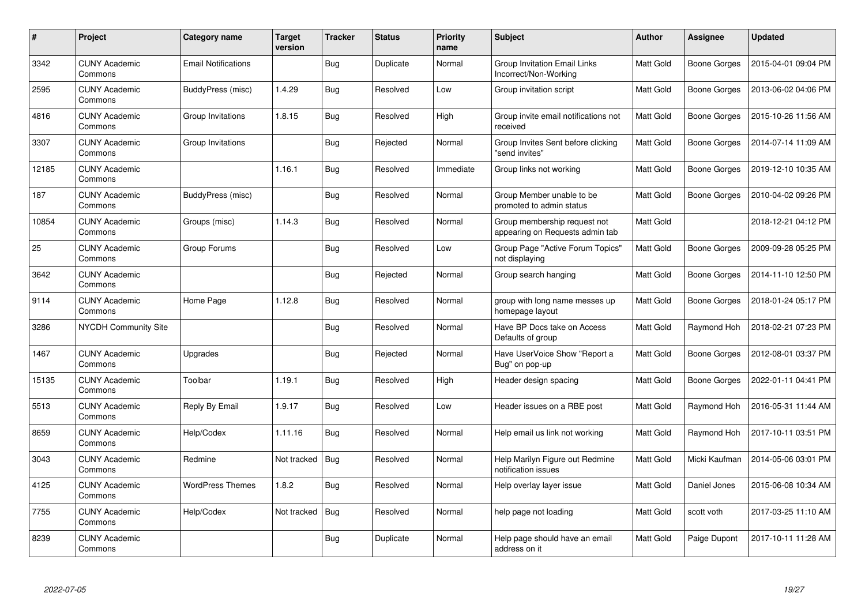| $\#$  | Project                         | Category name              | <b>Target</b><br>version | <b>Tracker</b> | <b>Status</b> | <b>Priority</b><br>name | <b>Subject</b>                                                  | <b>Author</b>    | Assignee            | <b>Updated</b>      |
|-------|---------------------------------|----------------------------|--------------------------|----------------|---------------|-------------------------|-----------------------------------------------------------------|------------------|---------------------|---------------------|
| 3342  | <b>CUNY Academic</b><br>Commons | <b>Email Notifications</b> |                          | <b>Bug</b>     | Duplicate     | Normal                  | <b>Group Invitation Email Links</b><br>Incorrect/Non-Working    | Matt Gold        | Boone Gorges        | 2015-04-01 09:04 PM |
| 2595  | <b>CUNY Academic</b><br>Commons | BuddyPress (misc)          | 1.4.29                   | Bug            | Resolved      | Low                     | Group invitation script                                         | <b>Matt Gold</b> | <b>Boone Gorges</b> | 2013-06-02 04:06 PM |
| 4816  | <b>CUNY Academic</b><br>Commons | Group Invitations          | 1.8.15                   | Bug            | Resolved      | High                    | Group invite email notifications not<br>received                | Matt Gold        | <b>Boone Gorges</b> | 2015-10-26 11:56 AM |
| 3307  | <b>CUNY Academic</b><br>Commons | Group Invitations          |                          | <b>Bug</b>     | Rejected      | Normal                  | Group Invites Sent before clicking<br>"send invites"            | Matt Gold        | <b>Boone Gorges</b> | 2014-07-14 11:09 AM |
| 12185 | <b>CUNY Academic</b><br>Commons |                            | 1.16.1                   | Bug            | Resolved      | Immediate               | Group links not working                                         | Matt Gold        | Boone Gorges        | 2019-12-10 10:35 AM |
| 187   | <b>CUNY Academic</b><br>Commons | BuddyPress (misc)          |                          | Bug            | Resolved      | Normal                  | Group Member unable to be<br>promoted to admin status           | Matt Gold        | Boone Gorges        | 2010-04-02 09:26 PM |
| 10854 | <b>CUNY Academic</b><br>Commons | Groups (misc)              | 1.14.3                   | Bug            | Resolved      | Normal                  | Group membership request not<br>appearing on Requests admin tab | Matt Gold        |                     | 2018-12-21 04:12 PM |
| 25    | <b>CUNY Academic</b><br>Commons | Group Forums               |                          | <b>Bug</b>     | Resolved      | Low                     | Group Page "Active Forum Topics"<br>not displaying              | Matt Gold        | Boone Gorges        | 2009-09-28 05:25 PM |
| 3642  | <b>CUNY Academic</b><br>Commons |                            |                          | Bug            | Rejected      | Normal                  | Group search hanging                                            | Matt Gold        | <b>Boone Gorges</b> | 2014-11-10 12:50 PM |
| 9114  | <b>CUNY Academic</b><br>Commons | Home Page                  | 1.12.8                   | Bug            | Resolved      | Normal                  | group with long name messes up<br>homepage layout               | <b>Matt Gold</b> | Boone Gorges        | 2018-01-24 05:17 PM |
| 3286  | <b>NYCDH Community Site</b>     |                            |                          | <b>Bug</b>     | Resolved      | Normal                  | Have BP Docs take on Access<br>Defaults of group                | Matt Gold        | Raymond Hoh         | 2018-02-21 07:23 PM |
| 1467  | <b>CUNY Academic</b><br>Commons | Upgrades                   |                          | Bug            | Rejected      | Normal                  | Have UserVoice Show "Report a<br>Bug" on pop-up                 | Matt Gold        | Boone Gorges        | 2012-08-01 03:37 PM |
| 15135 | <b>CUNY Academic</b><br>Commons | Toolbar                    | 1.19.1                   | Bug            | Resolved      | High                    | Header design spacing                                           | Matt Gold        | Boone Gorges        | 2022-01-11 04:41 PM |
| 5513  | <b>CUNY Academic</b><br>Commons | Reply By Email             | 1.9.17                   | Bug            | Resolved      | Low                     | Header issues on a RBE post                                     | Matt Gold        | Raymond Hoh         | 2016-05-31 11:44 AM |
| 8659  | <b>CUNY Academic</b><br>Commons | Help/Codex                 | 1.11.16                  | <b>Bug</b>     | Resolved      | Normal                  | Help email us link not working                                  | Matt Gold        | Raymond Hoh         | 2017-10-11 03:51 PM |
| 3043  | <b>CUNY Academic</b><br>Commons | Redmine                    | Not tracked              | Bug            | Resolved      | Normal                  | Help Marilyn Figure out Redmine<br>notification issues          | Matt Gold        | Micki Kaufman       | 2014-05-06 03:01 PM |
| 4125  | <b>CUNY Academic</b><br>Commons | <b>WordPress Themes</b>    | 1.8.2                    | Bug            | Resolved      | Normal                  | Help overlay layer issue                                        | Matt Gold        | Daniel Jones        | 2015-06-08 10:34 AM |
| 7755  | <b>CUNY Academic</b><br>Commons | Help/Codex                 | Not tracked              | Bug            | Resolved      | Normal                  | help page not loading                                           | Matt Gold        | scott voth          | 2017-03-25 11:10 AM |
| 8239  | <b>CUNY Academic</b><br>Commons |                            |                          | <b>Bug</b>     | Duplicate     | Normal                  | Help page should have an email<br>address on it                 | Matt Gold        | Paige Dupont        | 2017-10-11 11:28 AM |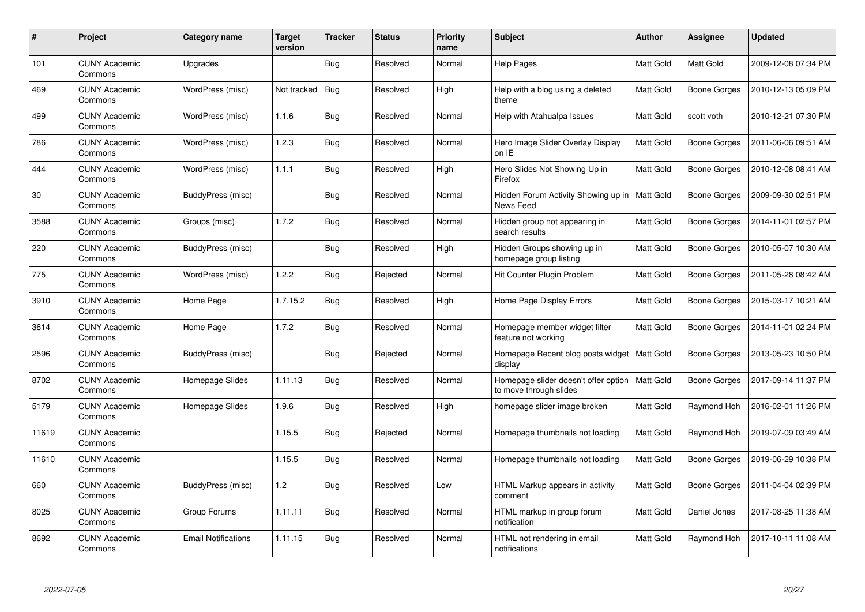| $\#$  | <b>Project</b>                  | Category name              | <b>Target</b><br>version | <b>Tracker</b> | <b>Status</b> | <b>Priority</b><br>name | <b>Subject</b>                                                             | <b>Author</b>    | Assignee            | <b>Updated</b>      |
|-------|---------------------------------|----------------------------|--------------------------|----------------|---------------|-------------------------|----------------------------------------------------------------------------|------------------|---------------------|---------------------|
| 101   | <b>CUNY Academic</b><br>Commons | Upgrades                   |                          | <b>Bug</b>     | Resolved      | Normal                  | <b>Help Pages</b>                                                          | Matt Gold        | Matt Gold           | 2009-12-08 07:34 PM |
| 469   | <b>CUNY Academic</b><br>Commons | WordPress (misc)           | Not tracked              | <b>Bug</b>     | Resolved      | High                    | Help with a blog using a deleted<br>theme                                  | <b>Matt Gold</b> | <b>Boone Gorges</b> | 2010-12-13 05:09 PM |
| 499   | <b>CUNY Academic</b><br>Commons | WordPress (misc)           | 1.1.6                    | Bug            | Resolved      | Normal                  | Help with Atahualpa Issues                                                 | Matt Gold        | scott voth          | 2010-12-21 07:30 PM |
| 786   | <b>CUNY Academic</b><br>Commons | WordPress (misc)           | 1.2.3                    | Bug            | Resolved      | Normal                  | Hero Image Slider Overlay Display<br>on IE                                 | <b>Matt Gold</b> | <b>Boone Gorges</b> | 2011-06-06 09:51 AM |
| 444   | <b>CUNY Academic</b><br>Commons | WordPress (misc)           | 1.1.1                    | Bug            | Resolved      | High                    | Hero Slides Not Showing Up in<br>Firefox                                   | Matt Gold        | <b>Boone Gorges</b> | 2010-12-08 08:41 AM |
| 30    | <b>CUNY Academic</b><br>Commons | BuddyPress (misc)          |                          | Bug            | Resolved      | Normal                  | Hidden Forum Activity Showing up in<br>News Feed                           | Matt Gold        | Boone Gorges        | 2009-09-30 02:51 PM |
| 3588  | <b>CUNY Academic</b><br>Commons | Groups (misc)              | 1.7.2                    | Bug            | Resolved      | Normal                  | Hidden group not appearing in<br>search results                            | Matt Gold        | <b>Boone Gorges</b> | 2014-11-01 02:57 PM |
| 220   | <b>CUNY Academic</b><br>Commons | BuddyPress (misc)          |                          | Bug            | Resolved      | High                    | Hidden Groups showing up in<br>homepage group listing                      | Matt Gold        | Boone Gorges        | 2010-05-07 10:30 AM |
| 775   | <b>CUNY Academic</b><br>Commons | WordPress (misc)           | 1.2.2                    | Bug            | Rejected      | Normal                  | Hit Counter Plugin Problem                                                 | Matt Gold        | <b>Boone Gorges</b> | 2011-05-28 08:42 AM |
| 3910  | <b>CUNY Academic</b><br>Commons | Home Page                  | 1.7.15.2                 | Bug            | Resolved      | High                    | Home Page Display Errors                                                   | Matt Gold        | <b>Boone Gorges</b> | 2015-03-17 10:21 AM |
| 3614  | <b>CUNY Academic</b><br>Commons | Home Page                  | 1.7.2                    | Bug            | Resolved      | Normal                  | Homepage member widget filter<br>feature not working                       | Matt Gold        | <b>Boone Gorges</b> | 2014-11-01 02:24 PM |
| 2596  | <b>CUNY Academic</b><br>Commons | BuddyPress (misc)          |                          | <b>Bug</b>     | Rejected      | Normal                  | Homepage Recent blog posts widget<br>display                               | Matt Gold        | Boone Gorges        | 2013-05-23 10:50 PM |
| 8702  | <b>CUNY Academic</b><br>Commons | Homepage Slides            | 1.11.13                  | Bug            | Resolved      | Normal                  | Homepage slider doesn't offer option   Matt Gold<br>to move through slides |                  | <b>Boone Gorges</b> | 2017-09-14 11:37 PM |
| 5179  | <b>CUNY Academic</b><br>Commons | Homepage Slides            | 1.9.6                    | Bug            | Resolved      | High                    | homepage slider image broken                                               | Matt Gold        | Raymond Hoh         | 2016-02-01 11:26 PM |
| 11619 | <b>CUNY Academic</b><br>Commons |                            | 1.15.5                   | <b>Bug</b>     | Rejected      | Normal                  | Homepage thumbnails not loading                                            | Matt Gold        | Raymond Hoh         | 2019-07-09 03:49 AM |
| 11610 | <b>CUNY Academic</b><br>Commons |                            | 1.15.5                   | Bug            | Resolved      | Normal                  | Homepage thumbnails not loading                                            | Matt Gold        | Boone Gorges        | 2019-06-29 10:38 PM |
| 660   | <b>CUNY Academic</b><br>Commons | BuddyPress (misc)          | 1.2                      | Bug            | Resolved      | Low                     | HTML Markup appears in activity<br>comment                                 | Matt Gold        | Boone Gorges        | 2011-04-04 02:39 PM |
| 8025  | <b>CUNY Academic</b><br>Commons | Group Forums               | 1.11.11                  | Bug            | Resolved      | Normal                  | HTML markup in group forum<br>notification                                 | Matt Gold        | Daniel Jones        | 2017-08-25 11:38 AM |
| 8692  | <b>CUNY Academic</b><br>Commons | <b>Email Notifications</b> | 1.11.15                  | Bug            | Resolved      | Normal                  | HTML not rendering in email<br>notifications                               | Matt Gold        | Raymond Hoh         | 2017-10-11 11:08 AM |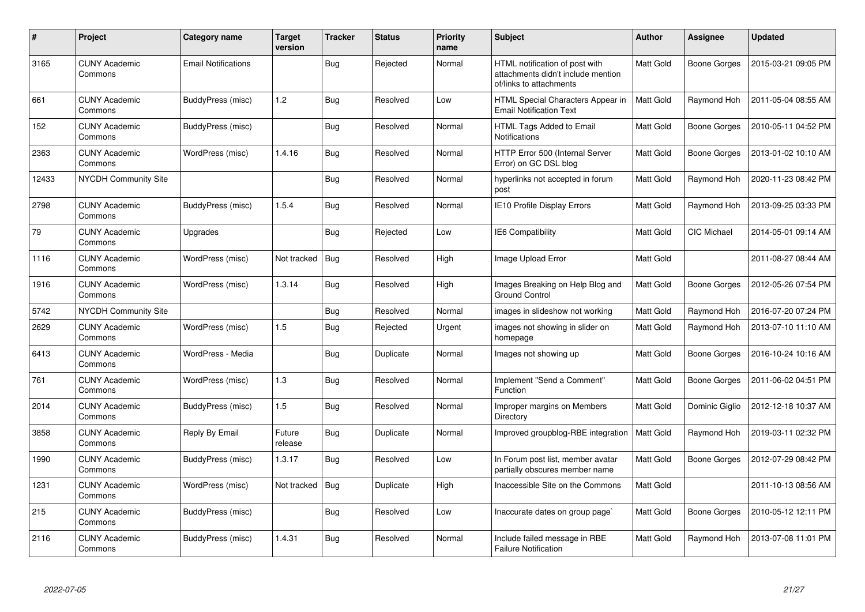| #     | Project                         | Category name              | Target<br>version | <b>Tracker</b> | <b>Status</b> | <b>Priority</b><br>name | Subject                                                                                         | Author           | Assignee            | <b>Updated</b>      |
|-------|---------------------------------|----------------------------|-------------------|----------------|---------------|-------------------------|-------------------------------------------------------------------------------------------------|------------------|---------------------|---------------------|
| 3165  | <b>CUNY Academic</b><br>Commons | <b>Email Notifications</b> |                   | <b>Bug</b>     | Rejected      | Normal                  | HTML notification of post with<br>attachments didn't include mention<br>of/links to attachments | Matt Gold        | <b>Boone Gorges</b> | 2015-03-21 09:05 PM |
| 661   | <b>CUNY Academic</b><br>Commons | <b>BuddyPress (misc)</b>   | 1.2               | <b>Bug</b>     | Resolved      | Low                     | HTML Special Characters Appear in<br><b>Email Notification Text</b>                             | Matt Gold        | Raymond Hoh         | 2011-05-04 08:55 AM |
| 152   | <b>CUNY Academic</b><br>Commons | BuddyPress (misc)          |                   | <b>Bug</b>     | Resolved      | Normal                  | HTML Tags Added to Email<br>Notifications                                                       | Matt Gold        | <b>Boone Gorges</b> | 2010-05-11 04:52 PM |
| 2363  | <b>CUNY Academic</b><br>Commons | WordPress (misc)           | 1.4.16            | <b>Bug</b>     | Resolved      | Normal                  | HTTP Error 500 (Internal Server<br>Error) on GC DSL blog                                        | Matt Gold        | <b>Boone Gorges</b> | 2013-01-02 10:10 AM |
| 12433 | <b>NYCDH Community Site</b>     |                            |                   | Bug            | Resolved      | Normal                  | hyperlinks not accepted in forum<br>post                                                        | Matt Gold        | Raymond Hoh         | 2020-11-23 08:42 PM |
| 2798  | <b>CUNY Academic</b><br>Commons | <b>BuddyPress (misc)</b>   | 1.5.4             | <b>Bug</b>     | Resolved      | Normal                  | IE10 Profile Display Errors                                                                     | Matt Gold        | Raymond Hoh         | 2013-09-25 03:33 PM |
| 79    | <b>CUNY Academic</b><br>Commons | Upgrades                   |                   | Bug            | Rejected      | Low                     | <b>IE6 Compatibility</b>                                                                        | Matt Gold        | CIC Michael         | 2014-05-01 09:14 AM |
| 1116  | <b>CUNY Academic</b><br>Commons | WordPress (misc)           | Not tracked       | Bug            | Resolved      | High                    | Image Upload Error                                                                              | <b>Matt Gold</b> |                     | 2011-08-27 08:44 AM |
| 1916  | <b>CUNY Academic</b><br>Commons | WordPress (misc)           | 1.3.14            | Bug            | Resolved      | High                    | Images Breaking on Help Blog and<br><b>Ground Control</b>                                       | Matt Gold        | <b>Boone Gorges</b> | 2012-05-26 07:54 PM |
| 5742  | <b>NYCDH Community Site</b>     |                            |                   | Bug            | Resolved      | Normal                  | images in slideshow not working                                                                 | Matt Gold        | Raymond Hoh         | 2016-07-20 07:24 PM |
| 2629  | <b>CUNY Academic</b><br>Commons | WordPress (misc)           | 1.5               | <b>Bug</b>     | Rejected      | Urgent                  | images not showing in slider on<br>homepage                                                     | Matt Gold        | Raymond Hoh         | 2013-07-10 11:10 AM |
| 6413  | <b>CUNY Academic</b><br>Commons | WordPress - Media          |                   | Bug            | Duplicate     | Normal                  | Images not showing up                                                                           | Matt Gold        | Boone Gorges        | 2016-10-24 10:16 AM |
| 761   | <b>CUNY Academic</b><br>Commons | WordPress (misc)           | 1.3               | Bug            | Resolved      | Normal                  | Implement "Send a Comment"<br><b>Function</b>                                                   | Matt Gold        | <b>Boone Gorges</b> | 2011-06-02 04:51 PM |
| 2014  | <b>CUNY Academic</b><br>Commons | BuddyPress (misc)          | 1.5               | Bug            | Resolved      | Normal                  | Improper margins on Members<br>Directory                                                        | Matt Gold        | Dominic Giglio      | 2012-12-18 10:37 AM |
| 3858  | <b>CUNY Academic</b><br>Commons | Reply By Email             | Future<br>release | <b>Bug</b>     | Duplicate     | Normal                  | Improved groupblog-RBE integration                                                              | Matt Gold        | Raymond Hoh         | 2019-03-11 02:32 PM |
| 1990  | <b>CUNY Academic</b><br>Commons | BuddyPress (misc)          | 1.3.17            | <b>Bug</b>     | Resolved      | Low                     | In Forum post list, member avatar<br>partially obscures member name                             | Matt Gold        | <b>Boone Gorges</b> | 2012-07-29 08:42 PM |
| 1231  | <b>CUNY Academic</b><br>Commons | WordPress (misc)           | Not tracked       | <b>Bug</b>     | Duplicate     | High                    | Inaccessible Site on the Commons                                                                | Matt Gold        |                     | 2011-10-13 08:56 AM |
| 215   | <b>CUNY Academic</b><br>Commons | BuddyPress (misc)          |                   | Bug            | Resolved      | Low                     | Inaccurate dates on group page`                                                                 | Matt Gold        | <b>Boone Gorges</b> | 2010-05-12 12:11 PM |
| 2116  | <b>CUNY Academic</b><br>Commons | BuddyPress (misc)          | 1.4.31            | <b>Bug</b>     | Resolved      | Normal                  | Include failed message in RBE<br><b>Failure Notification</b>                                    | Matt Gold        | Raymond Hoh         | 2013-07-08 11:01 PM |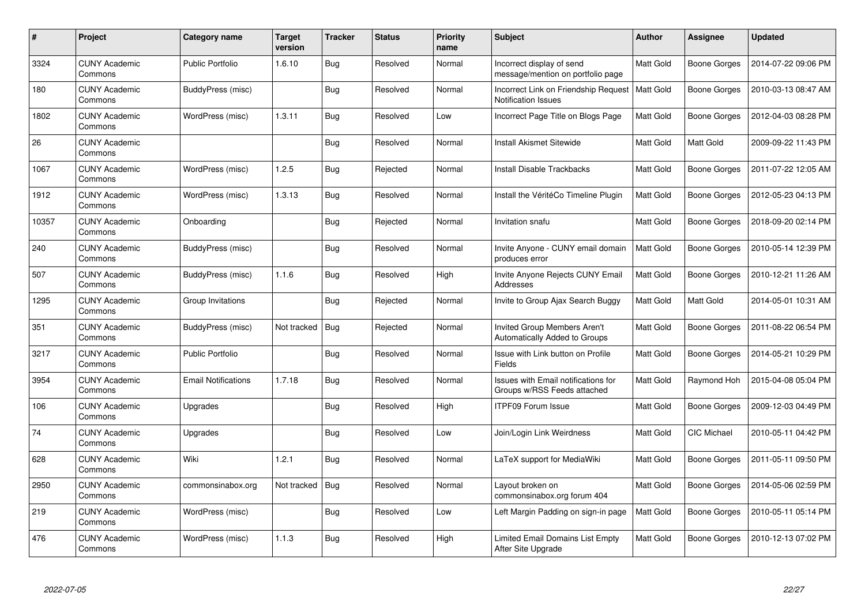| $\#$  | Project                         | Category name              | <b>Target</b><br>version | <b>Tracker</b> | <b>Status</b> | <b>Priority</b><br>name | <b>Subject</b>                                                     | <b>Author</b>    | Assignee            | <b>Updated</b>      |
|-------|---------------------------------|----------------------------|--------------------------|----------------|---------------|-------------------------|--------------------------------------------------------------------|------------------|---------------------|---------------------|
| 3324  | <b>CUNY Academic</b><br>Commons | <b>Public Portfolio</b>    | 1.6.10                   | <b>Bug</b>     | Resolved      | Normal                  | Incorrect display of send<br>message/mention on portfolio page     | Matt Gold        | <b>Boone Gorges</b> | 2014-07-22 09:06 PM |
| 180   | <b>CUNY Academic</b><br>Commons | BuddyPress (misc)          |                          | <b>Bug</b>     | Resolved      | Normal                  | Incorrect Link on Friendship Request<br><b>Notification Issues</b> | <b>Matt Gold</b> | <b>Boone Gorges</b> | 2010-03-13 08:47 AM |
| 1802  | <b>CUNY Academic</b><br>Commons | WordPress (misc)           | 1.3.11                   | Bug            | Resolved      | Low                     | Incorrect Page Title on Blogs Page                                 | Matt Gold        | <b>Boone Gorges</b> | 2012-04-03 08:28 PM |
| 26    | <b>CUNY Academic</b><br>Commons |                            |                          | Bug            | Resolved      | Normal                  | <b>Install Akismet Sitewide</b>                                    | Matt Gold        | Matt Gold           | 2009-09-22 11:43 PM |
| 1067  | <b>CUNY Academic</b><br>Commons | WordPress (misc)           | 1.2.5                    | <b>Bug</b>     | Rejected      | Normal                  | Install Disable Trackbacks                                         | Matt Gold        | <b>Boone Gorges</b> | 2011-07-22 12:05 AM |
| 1912  | <b>CUNY Academic</b><br>Commons | WordPress (misc)           | 1.3.13                   | <b>Bug</b>     | Resolved      | Normal                  | Install the VéritéCo Timeline Plugin                               | <b>Matt Gold</b> | Boone Gorges        | 2012-05-23 04:13 PM |
| 10357 | <b>CUNY Academic</b><br>Commons | Onboarding                 |                          | Bug            | Rejected      | Normal                  | Invitation snafu                                                   | Matt Gold        | <b>Boone Gorges</b> | 2018-09-20 02:14 PM |
| 240   | <b>CUNY Academic</b><br>Commons | BuddyPress (misc)          |                          | <b>Bug</b>     | Resolved      | Normal                  | Invite Anyone - CUNY email domain<br>produces error                | Matt Gold        | Boone Gorges        | 2010-05-14 12:39 PM |
| 507   | <b>CUNY Academic</b><br>Commons | BuddyPress (misc)          | 1.1.6                    | <b>Bug</b>     | Resolved      | High                    | Invite Anyone Rejects CUNY Email<br>Addresses                      | Matt Gold        | <b>Boone Gorges</b> | 2010-12-21 11:26 AM |
| 1295  | <b>CUNY Academic</b><br>Commons | Group Invitations          |                          | Bug            | Rejected      | Normal                  | Invite to Group Ajax Search Buggy                                  | Matt Gold        | Matt Gold           | 2014-05-01 10:31 AM |
| 351   | <b>CUNY Academic</b><br>Commons | BuddyPress (misc)          | Not tracked              | Bug            | Rejected      | Normal                  | Invited Group Members Aren't<br>Automatically Added to Groups      | Matt Gold        | <b>Boone Gorges</b> | 2011-08-22 06:54 PM |
| 3217  | <b>CUNY Academic</b><br>Commons | <b>Public Portfolio</b>    |                          | Bug            | Resolved      | Normal                  | Issue with Link button on Profile<br><b>Fields</b>                 | Matt Gold        | <b>Boone Gorges</b> | 2014-05-21 10:29 PM |
| 3954  | <b>CUNY Academic</b><br>Commons | <b>Email Notifications</b> | 1.7.18                   | <b>Bug</b>     | Resolved      | Normal                  | Issues with Email notifications for<br>Groups w/RSS Feeds attached | Matt Gold        | Raymond Hoh         | 2015-04-08 05:04 PM |
| 106   | <b>CUNY Academic</b><br>Commons | Upgrades                   |                          | <b>Bug</b>     | Resolved      | High                    | <b>ITPF09 Forum Issue</b>                                          | Matt Gold        | <b>Boone Gorges</b> | 2009-12-03 04:49 PM |
| 74    | <b>CUNY Academic</b><br>Commons | Upgrades                   |                          | <b>Bug</b>     | Resolved      | Low                     | Join/Login Link Weirdness                                          | Matt Gold        | CIC Michael         | 2010-05-11 04:42 PM |
| 628   | <b>CUNY Academic</b><br>Commons | Wiki                       | 1.2.1                    | Bug            | Resolved      | Normal                  | LaTeX support for MediaWiki                                        | Matt Gold        | Boone Gorges        | 2011-05-11 09:50 PM |
| 2950  | <b>CUNY Academic</b><br>Commons | commonsinabox.org          | Not tracked              | Bug            | Resolved      | Normal                  | Layout broken on<br>commonsinabox.org forum 404                    | Matt Gold        | Boone Gorges        | 2014-05-06 02:59 PM |
| 219   | <b>CUNY Academic</b><br>Commons | WordPress (misc)           |                          | Bug            | Resolved      | Low                     | Left Margin Padding on sign-in page                                | Matt Gold        | <b>Boone Gorges</b> | 2010-05-11 05:14 PM |
| 476   | <b>CUNY Academic</b><br>Commons | WordPress (misc)           | 1.1.3                    | Bug            | Resolved      | High                    | Limited Email Domains List Empty<br>After Site Upgrade             | <b>Matt Gold</b> | <b>Boone Gorges</b> | 2010-12-13 07:02 PM |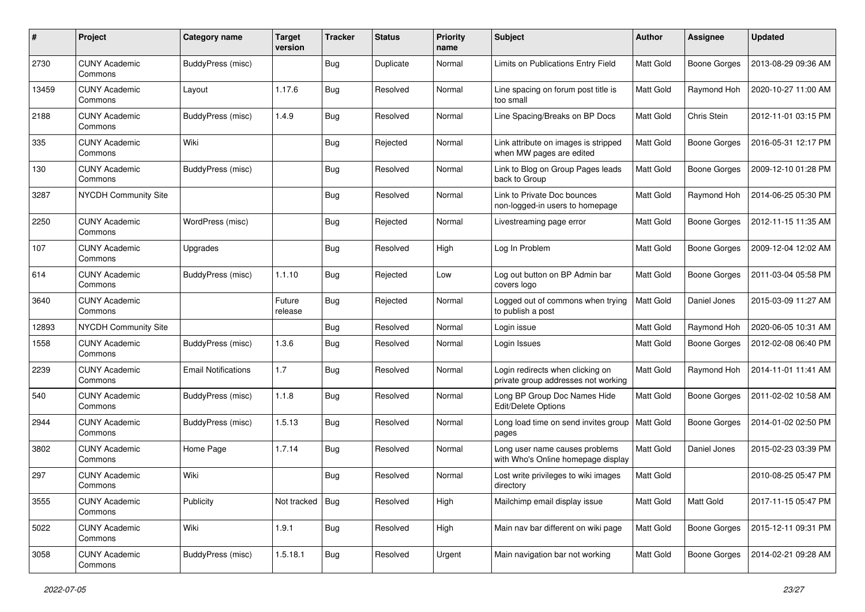| $\#$  | Project                         | Category name              | <b>Target</b><br>version | <b>Tracker</b> | <b>Status</b> | <b>Priority</b><br>name | Subject                                                                 | Author    | Assignee            | <b>Updated</b>      |
|-------|---------------------------------|----------------------------|--------------------------|----------------|---------------|-------------------------|-------------------------------------------------------------------------|-----------|---------------------|---------------------|
| 2730  | <b>CUNY Academic</b><br>Commons | BuddyPress (misc)          |                          | <b>Bug</b>     | Duplicate     | Normal                  | Limits on Publications Entry Field                                      | Matt Gold | <b>Boone Gorges</b> | 2013-08-29 09:36 AM |
| 13459 | <b>CUNY Academic</b><br>Commons | Layout                     | 1.17.6                   | <b>Bug</b>     | Resolved      | Normal                  | Line spacing on forum post title is<br>too small                        | Matt Gold | Raymond Hoh         | 2020-10-27 11:00 AM |
| 2188  | <b>CUNY Academic</b><br>Commons | BuddyPress (misc)          | 1.4.9                    | <b>Bug</b>     | Resolved      | Normal                  | Line Spacing/Breaks on BP Docs                                          | Matt Gold | Chris Stein         | 2012-11-01 03:15 PM |
| 335   | <b>CUNY Academic</b><br>Commons | Wiki                       |                          | Bug            | Rejected      | Normal                  | Link attribute on images is stripped<br>when MW pages are edited        | Matt Gold | <b>Boone Gorges</b> | 2016-05-31 12:17 PM |
| 130   | <b>CUNY Academic</b><br>Commons | BuddyPress (misc)          |                          | Bug            | Resolved      | Normal                  | Link to Blog on Group Pages leads<br>back to Group                      | Matt Gold | <b>Boone Gorges</b> | 2009-12-10 01:28 PM |
| 3287  | NYCDH Community Site            |                            |                          | Bug            | Resolved      | Normal                  | Link to Private Doc bounces<br>non-logged-in users to homepage          | Matt Gold | Raymond Hoh         | 2014-06-25 05:30 PM |
| 2250  | <b>CUNY Academic</b><br>Commons | WordPress (misc)           |                          | <b>Bug</b>     | Rejected      | Normal                  | Livestreaming page error                                                | Matt Gold | <b>Boone Gorges</b> | 2012-11-15 11:35 AM |
| 107   | <b>CUNY Academic</b><br>Commons | Upgrades                   |                          | <b>Bug</b>     | Resolved      | High                    | Log In Problem                                                          | Matt Gold | <b>Boone Gorges</b> | 2009-12-04 12:02 AM |
| 614   | <b>CUNY Academic</b><br>Commons | BuddyPress (misc)          | 1.1.10                   | Bug            | Rejected      | Low                     | Log out button on BP Admin bar<br>covers logo                           | Matt Gold | <b>Boone Gorges</b> | 2011-03-04 05:58 PM |
| 3640  | <b>CUNY Academic</b><br>Commons |                            | Future<br>release        | <b>Bug</b>     | Rejected      | Normal                  | Logged out of commons when trying<br>to publish a post                  | Matt Gold | Daniel Jones        | 2015-03-09 11:27 AM |
| 12893 | <b>NYCDH Community Site</b>     |                            |                          | <b>Bug</b>     | Resolved      | Normal                  | Login issue                                                             | Matt Gold | Raymond Hoh         | 2020-06-05 10:31 AM |
| 1558  | <b>CUNY Academic</b><br>Commons | BuddyPress (misc)          | 1.3.6                    | Bug            | Resolved      | Normal                  | Login Issues                                                            | Matt Gold | <b>Boone Gorges</b> | 2012-02-08 06:40 PM |
| 2239  | <b>CUNY Academic</b><br>Commons | <b>Email Notifications</b> | 1.7                      | <b>Bug</b>     | Resolved      | Normal                  | Login redirects when clicking on<br>private group addresses not working | Matt Gold | Raymond Hoh         | 2014-11-01 11:41 AM |
| 540   | <b>CUNY Academic</b><br>Commons | BuddyPress (misc)          | 1.1.8                    | <b>Bug</b>     | Resolved      | Normal                  | Long BP Group Doc Names Hide<br>Edit/Delete Options                     | Matt Gold | <b>Boone Gorges</b> | 2011-02-02 10:58 AM |
| 2944  | <b>CUNY Academic</b><br>Commons | BuddyPress (misc)          | 1.5.13                   | <b>Bug</b>     | Resolved      | Normal                  | Long load time on send invites group<br>pages                           | Matt Gold | <b>Boone Gorges</b> | 2014-01-02 02:50 PM |
| 3802  | <b>CUNY Academic</b><br>Commons | Home Page                  | 1.7.14                   | <b>Bug</b>     | Resolved      | Normal                  | Long user name causes problems<br>with Who's Online homepage display    | Matt Gold | Daniel Jones        | 2015-02-23 03:39 PM |
| 297   | <b>CUNY Academic</b><br>Commons | Wiki                       |                          | <b>Bug</b>     | Resolved      | Normal                  | Lost write privileges to wiki images<br>directory                       | Matt Gold |                     | 2010-08-25 05:47 PM |
| 3555  | <b>CUNY Academic</b><br>Commons | Publicity                  | Not tracked              | <b>Bug</b>     | Resolved      | High                    | Mailchimp email display issue                                           | Matt Gold | Matt Gold           | 2017-11-15 05:47 PM |
| 5022  | <b>CUNY Academic</b><br>Commons | Wiki                       | 1.9.1                    | <b>Bug</b>     | Resolved      | High                    | Main nav bar different on wiki page                                     | Matt Gold | <b>Boone Gorges</b> | 2015-12-11 09:31 PM |
| 3058  | <b>CUNY Academic</b><br>Commons | BuddyPress (misc)          | 1.5.18.1                 | <b>Bug</b>     | Resolved      | Urgent                  | Main navigation bar not working                                         | Matt Gold | <b>Boone Gorges</b> | 2014-02-21 09:28 AM |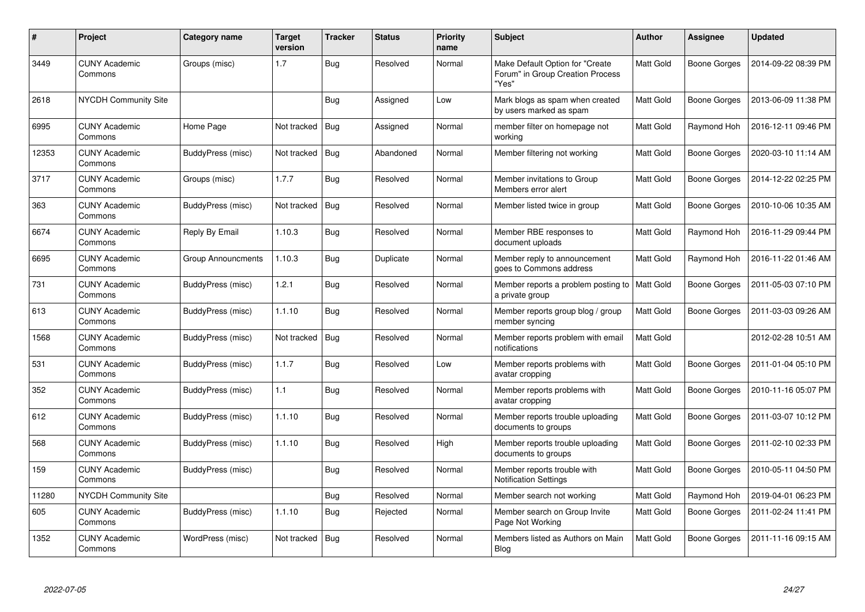| #     | Project                         | Category name            | Target<br>version | <b>Tracker</b> | <b>Status</b> | <b>Priority</b><br>name | Subject                                                                      | Author           | Assignee            | <b>Updated</b>      |
|-------|---------------------------------|--------------------------|-------------------|----------------|---------------|-------------------------|------------------------------------------------------------------------------|------------------|---------------------|---------------------|
| 3449  | <b>CUNY Academic</b><br>Commons | Groups (misc)            | 1.7               | <b>Bug</b>     | Resolved      | Normal                  | Make Default Option for "Create<br>Forum" in Group Creation Process<br>"Yes" | Matt Gold        | <b>Boone Gorges</b> | 2014-09-22 08:39 PM |
| 2618  | <b>NYCDH Community Site</b>     |                          |                   | <b>Bug</b>     | Assigned      | Low                     | Mark blogs as spam when created<br>by users marked as spam                   | Matt Gold        | Boone Gorges        | 2013-06-09 11:38 PM |
| 6995  | <b>CUNY Academic</b><br>Commons | Home Page                | Not tracked       | <b>Bug</b>     | Assigned      | Normal                  | member filter on homepage not<br>working                                     | Matt Gold        | Raymond Hoh         | 2016-12-11 09:46 PM |
| 12353 | <b>CUNY Academic</b><br>Commons | <b>BuddyPress (misc)</b> | Not tracked       | <b>Bug</b>     | Abandoned     | Normal                  | Member filtering not working                                                 | Matt Gold        | <b>Boone Gorges</b> | 2020-03-10 11:14 AM |
| 3717  | <b>CUNY Academic</b><br>Commons | Groups (misc)            | 1.7.7             | <b>Bug</b>     | Resolved      | Normal                  | Member invitations to Group<br>Members error alert                           | Matt Gold        | <b>Boone Gorges</b> | 2014-12-22 02:25 PM |
| 363   | <b>CUNY Academic</b><br>Commons | BuddyPress (misc)        | Not tracked       | <b>Bug</b>     | Resolved      | Normal                  | Member listed twice in group                                                 | Matt Gold        | Boone Gorges        | 2010-10-06 10:35 AM |
| 6674  | <b>CUNY Academic</b><br>Commons | Reply By Email           | 1.10.3            | <b>Bug</b>     | Resolved      | Normal                  | Member RBE responses to<br>document uploads                                  | <b>Matt Gold</b> | Raymond Hoh         | 2016-11-29 09:44 PM |
| 6695  | <b>CUNY Academic</b><br>Commons | Group Announcments       | 1.10.3            | <b>Bug</b>     | Duplicate     | Normal                  | Member reply to announcement<br>goes to Commons address                      | Matt Gold        | Raymond Hoh         | 2016-11-22 01:46 AM |
| 731   | <b>CUNY Academic</b><br>Commons | BuddyPress (misc)        | 1.2.1             | Bug            | Resolved      | Normal                  | Member reports a problem posting to<br>a private group                       | Matt Gold        | Boone Gorges        | 2011-05-03 07:10 PM |
| 613   | <b>CUNY Academic</b><br>Commons | <b>BuddyPress (misc)</b> | 1.1.10            | Bug            | Resolved      | Normal                  | Member reports group blog / group<br>member syncing                          | Matt Gold        | <b>Boone Gorges</b> | 2011-03-03 09:26 AM |
| 1568  | <b>CUNY Academic</b><br>Commons | BuddyPress (misc)        | Not tracked       | <b>Bug</b>     | Resolved      | Normal                  | Member reports problem with email<br>notifications                           | Matt Gold        |                     | 2012-02-28 10:51 AM |
| 531   | <b>CUNY Academic</b><br>Commons | BuddyPress (misc)        | 1.1.7             | <b>Bug</b>     | Resolved      | Low                     | Member reports problems with<br>avatar cropping                              | Matt Gold        | <b>Boone Gorges</b> | 2011-01-04 05:10 PM |
| 352   | <b>CUNY Academic</b><br>Commons | BuddyPress (misc)        | 1.1               | <b>Bug</b>     | Resolved      | Normal                  | Member reports problems with<br>avatar cropping                              | Matt Gold        | Boone Gorges        | 2010-11-16 05:07 PM |
| 612   | <b>CUNY Academic</b><br>Commons | BuddyPress (misc)        | 1.1.10            | Bug            | Resolved      | Normal                  | Member reports trouble uploading<br>documents to groups                      | Matt Gold        | <b>Boone Gorges</b> | 2011-03-07 10:12 PM |
| 568   | <b>CUNY Academic</b><br>Commons | BuddyPress (misc)        | 1.1.10            | Bug            | Resolved      | High                    | Member reports trouble uploading<br>documents to groups                      | Matt Gold        | <b>Boone Gorges</b> | 2011-02-10 02:33 PM |
| 159   | <b>CUNY Academic</b><br>Commons | BuddyPress (misc)        |                   | <b>Bug</b>     | Resolved      | Normal                  | Member reports trouble with<br><b>Notification Settings</b>                  | Matt Gold        | <b>Boone Gorges</b> | 2010-05-11 04:50 PM |
| 11280 | <b>NYCDH Community Site</b>     |                          |                   | <b>Bug</b>     | Resolved      | Normal                  | Member search not working                                                    | Matt Gold        | Raymond Hoh         | 2019-04-01 06:23 PM |
| 605   | <b>CUNY Academic</b><br>Commons | <b>BuddyPress (misc)</b> | 1.1.10            | Bug            | Rejected      | Normal                  | Member search on Group Invite<br>Page Not Working                            | Matt Gold        | Boone Gorges        | 2011-02-24 11:41 PM |
| 1352  | <b>CUNY Academic</b><br>Commons | WordPress (misc)         | Not tracked       | Bug            | Resolved      | Normal                  | Members listed as Authors on Main<br>Blog                                    | Matt Gold        | Boone Gorges        | 2011-11-16 09:15 AM |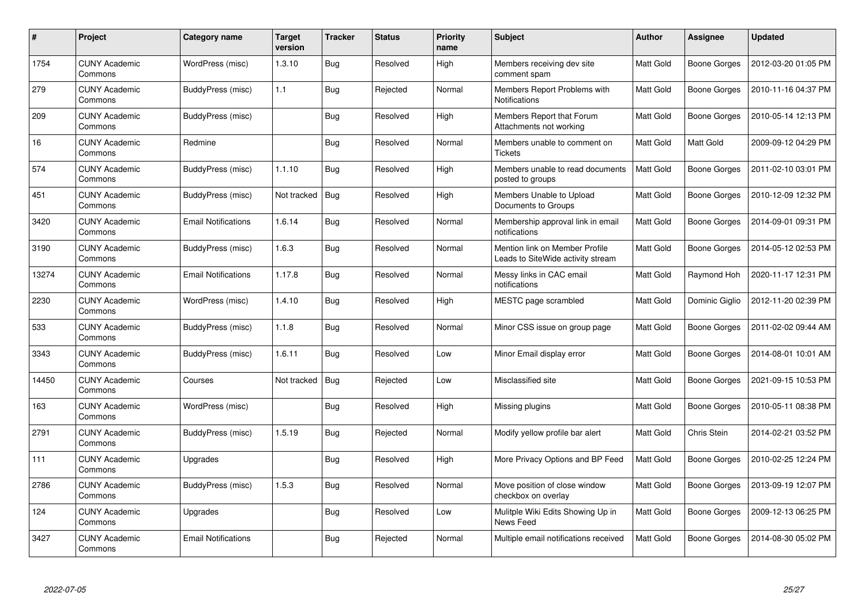| $\#$  | <b>Project</b>                  | Category name              | <b>Target</b><br>version | <b>Tracker</b> | <b>Status</b> | <b>Priority</b><br>name | <b>Subject</b>                                                      | <b>Author</b>    | Assignee            | <b>Updated</b>      |
|-------|---------------------------------|----------------------------|--------------------------|----------------|---------------|-------------------------|---------------------------------------------------------------------|------------------|---------------------|---------------------|
| 1754  | <b>CUNY Academic</b><br>Commons | WordPress (misc)           | 1.3.10                   | <b>Bug</b>     | Resolved      | High                    | Members receiving dev site<br>comment spam                          | <b>Matt Gold</b> | <b>Boone Gorges</b> | 2012-03-20 01:05 PM |
| 279   | <b>CUNY Academic</b><br>Commons | BuddyPress (misc)          | 1.1                      | Bug            | Rejected      | Normal                  | Members Report Problems with<br>Notifications                       | <b>Matt Gold</b> | <b>Boone Gorges</b> | 2010-11-16 04:37 PM |
| 209   | <b>CUNY Academic</b><br>Commons | BuddyPress (misc)          |                          | <b>Bug</b>     | Resolved      | High                    | Members Report that Forum<br>Attachments not working                | <b>Matt Gold</b> | <b>Boone Gorges</b> | 2010-05-14 12:13 PM |
| 16    | <b>CUNY Academic</b><br>Commons | Redmine                    |                          | <b>Bug</b>     | Resolved      | Normal                  | Members unable to comment on<br><b>Tickets</b>                      | Matt Gold        | Matt Gold           | 2009-09-12 04:29 PM |
| 574   | <b>CUNY Academic</b><br>Commons | BuddyPress (misc)          | 1.1.10                   | Bug            | Resolved      | High                    | Members unable to read documents<br>posted to groups                | Matt Gold        | Boone Gorges        | 2011-02-10 03:01 PM |
| 451   | <b>CUNY Academic</b><br>Commons | BuddyPress (misc)          | Not tracked              | Bug            | Resolved      | High                    | Members Unable to Upload<br>Documents to Groups                     | Matt Gold        | Boone Gorges        | 2010-12-09 12:32 PM |
| 3420  | <b>CUNY Academic</b><br>Commons | <b>Email Notifications</b> | 1.6.14                   | Bug            | Resolved      | Normal                  | Membership approval link in email<br>notifications                  | Matt Gold        | <b>Boone Gorges</b> | 2014-09-01 09:31 PM |
| 3190  | <b>CUNY Academic</b><br>Commons | BuddyPress (misc)          | 1.6.3                    | Bug            | Resolved      | Normal                  | Mention link on Member Profile<br>Leads to SiteWide activity stream | Matt Gold        | Boone Gorges        | 2014-05-12 02:53 PM |
| 13274 | <b>CUNY Academic</b><br>Commons | <b>Email Notifications</b> | 1.17.8                   | Bug            | Resolved      | Normal                  | Messy links in CAC email<br>notifications                           | Matt Gold        | Raymond Hoh         | 2020-11-17 12:31 PM |
| 2230  | <b>CUNY Academic</b><br>Commons | WordPress (misc)           | 1.4.10                   | Bug            | Resolved      | High                    | MESTC page scrambled                                                | <b>Matt Gold</b> | Dominic Giglio      | 2012-11-20 02:39 PM |
| 533   | <b>CUNY Academic</b><br>Commons | BuddyPress (misc)          | 1.1.8                    | Bug            | Resolved      | Normal                  | Minor CSS issue on group page                                       | Matt Gold        | Boone Gorges        | 2011-02-02 09:44 AM |
| 3343  | <b>CUNY Academic</b><br>Commons | BuddyPress (misc)          | 1.6.11                   | Bug            | Resolved      | Low                     | Minor Email display error                                           | Matt Gold        | <b>Boone Gorges</b> | 2014-08-01 10:01 AM |
| 14450 | <b>CUNY Academic</b><br>Commons | Courses                    | Not tracked              | Bug            | Rejected      | Low                     | Misclassified site                                                  | Matt Gold        | Boone Gorges        | 2021-09-15 10:53 PM |
| 163   | <b>CUNY Academic</b><br>Commons | WordPress (misc)           |                          | Bug            | Resolved      | High                    | Missing plugins                                                     | Matt Gold        | <b>Boone Gorges</b> | 2010-05-11 08:38 PM |
| 2791  | <b>CUNY Academic</b><br>Commons | BuddyPress (misc)          | 1.5.19                   | Bug            | Rejected      | Normal                  | Modify yellow profile bar alert                                     | Matt Gold        | Chris Stein         | 2014-02-21 03:52 PM |
| 111   | <b>CUNY Academic</b><br>Commons | Upgrades                   |                          | <b>Bug</b>     | Resolved      | High                    | More Privacy Options and BP Feed                                    | Matt Gold        | Boone Gorges        | 2010-02-25 12:24 PM |
| 2786  | <b>CUNY Academic</b><br>Commons | BuddyPress (misc)          | 1.5.3                    | Bug            | Resolved      | Normal                  | Move position of close window<br>checkbox on overlay                | Matt Gold        | Boone Gorges        | 2013-09-19 12:07 PM |
| 124   | <b>CUNY Academic</b><br>Commons | Upgrades                   |                          | <b>Bug</b>     | Resolved      | Low                     | Mulitple Wiki Edits Showing Up in<br>News Feed                      | Matt Gold        | <b>Boone Gorges</b> | 2009-12-13 06:25 PM |
| 3427  | <b>CUNY Academic</b><br>Commons | <b>Email Notifications</b> |                          | Bug            | Rejected      | Normal                  | Multiple email notifications received                               | Matt Gold        | Boone Gorges        | 2014-08-30 05:02 PM |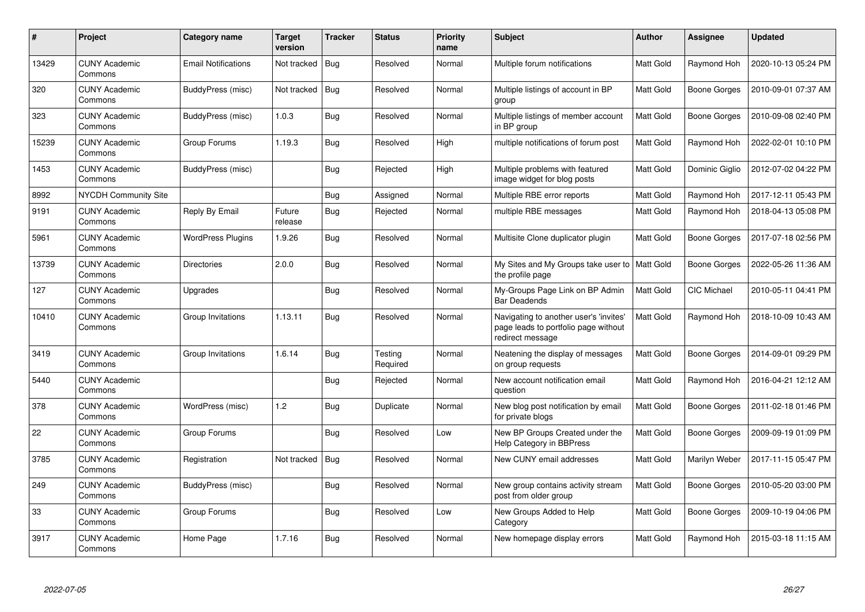| $\#$  | Project                         | Category name              | <b>Target</b><br>version | <b>Tracker</b> | <b>Status</b>       | <b>Priority</b><br>name | <b>Subject</b>                                                                                     | <b>Author</b>    | Assignee            | <b>Updated</b>      |
|-------|---------------------------------|----------------------------|--------------------------|----------------|---------------------|-------------------------|----------------------------------------------------------------------------------------------------|------------------|---------------------|---------------------|
| 13429 | <b>CUNY Academic</b><br>Commons | <b>Email Notifications</b> | Not tracked              | Bug            | Resolved            | Normal                  | Multiple forum notifications                                                                       | <b>Matt Gold</b> | Raymond Hoh         | 2020-10-13 05:24 PM |
| 320   | <b>CUNY Academic</b><br>Commons | BuddyPress (misc)          | Not tracked              | Bug            | Resolved            | Normal                  | Multiple listings of account in BP<br>group                                                        | <b>Matt Gold</b> | <b>Boone Gorges</b> | 2010-09-01 07:37 AM |
| 323   | <b>CUNY Academic</b><br>Commons | BuddyPress (misc)          | 1.0.3                    | Bug            | Resolved            | Normal                  | Multiple listings of member account<br>in BP group                                                 | Matt Gold        | <b>Boone Gorges</b> | 2010-09-08 02:40 PM |
| 15239 | <b>CUNY Academic</b><br>Commons | Group Forums               | 1.19.3                   | <b>Bug</b>     | Resolved            | High                    | multiple notifications of forum post                                                               | Matt Gold        | Raymond Hoh         | 2022-02-01 10:10 PM |
| 1453  | <b>CUNY Academic</b><br>Commons | BuddyPress (misc)          |                          | Bug            | Rejected            | High                    | Multiple problems with featured<br>image widget for blog posts                                     | Matt Gold        | Dominic Giglio      | 2012-07-02 04:22 PM |
| 8992  | <b>NYCDH Community Site</b>     |                            |                          | <b>Bug</b>     | Assigned            | Normal                  | Multiple RBE error reports                                                                         | Matt Gold        | Raymond Hoh         | 2017-12-11 05:43 PM |
| 9191  | <b>CUNY Academic</b><br>Commons | <b>Reply By Email</b>      | Future<br>release        | Bug            | Rejected            | Normal                  | multiple RBE messages                                                                              | Matt Gold        | Raymond Hoh         | 2018-04-13 05:08 PM |
| 5961  | <b>CUNY Academic</b><br>Commons | <b>WordPress Plugins</b>   | 1.9.26                   | Bug            | Resolved            | Normal                  | Multisite Clone duplicator plugin                                                                  | Matt Gold        | Boone Gorges        | 2017-07-18 02:56 PM |
| 13739 | <b>CUNY Academic</b><br>Commons | <b>Directories</b>         | 2.0.0                    | Bug            | Resolved            | Normal                  | My Sites and My Groups take user to   Matt Gold<br>the profile page                                |                  | <b>Boone Gorges</b> | 2022-05-26 11:36 AM |
| 127   | <b>CUNY Academic</b><br>Commons | Upgrades                   |                          | <b>Bug</b>     | Resolved            | Normal                  | My-Groups Page Link on BP Admin<br><b>Bar Deadends</b>                                             | Matt Gold        | CIC Michael         | 2010-05-11 04:41 PM |
| 10410 | <b>CUNY Academic</b><br>Commons | Group Invitations          | 1.13.11                  | Bug            | Resolved            | Normal                  | Navigating to another user's 'invites'<br>page leads to portfolio page without<br>redirect message | Matt Gold        | Raymond Hoh         | 2018-10-09 10:43 AM |
| 3419  | <b>CUNY Academic</b><br>Commons | Group Invitations          | 1.6.14                   | Bug            | Testing<br>Required | Normal                  | Neatening the display of messages<br>on group requests                                             | Matt Gold        | <b>Boone Gorges</b> | 2014-09-01 09:29 PM |
| 5440  | <b>CUNY Academic</b><br>Commons |                            |                          | Bug            | Rejected            | Normal                  | New account notification email<br>question                                                         | Matt Gold        | Raymond Hoh         | 2016-04-21 12:12 AM |
| 378   | <b>CUNY Academic</b><br>Commons | WordPress (misc)           | 1.2                      | Bug            | Duplicate           | Normal                  | New blog post notification by email<br>for private blogs                                           | Matt Gold        | Boone Gorges        | 2011-02-18 01:46 PM |
| 22    | <b>CUNY Academic</b><br>Commons | Group Forums               |                          | <b>Bug</b>     | Resolved            | Low                     | New BP Groups Created under the<br><b>Help Category in BBPress</b>                                 | Matt Gold        | Boone Gorges        | 2009-09-19 01:09 PM |
| 3785  | <b>CUNY Academic</b><br>Commons | Registration               | Not tracked              | Bug            | Resolved            | Normal                  | New CUNY email addresses                                                                           | Matt Gold        | Marilyn Weber       | 2017-11-15 05:47 PM |
| 249   | <b>CUNY Academic</b><br>Commons | BuddyPress (misc)          |                          | Bug            | Resolved            | Normal                  | New group contains activity stream<br>post from older group                                        | Matt Gold        | Boone Gorges        | 2010-05-20 03:00 PM |
| 33    | <b>CUNY Academic</b><br>Commons | Group Forums               |                          | <b>Bug</b>     | Resolved            | Low                     | New Groups Added to Help<br>Category                                                               | Matt Gold        | <b>Boone Gorges</b> | 2009-10-19 04:06 PM |
| 3917  | <b>CUNY Academic</b><br>Commons | Home Page                  | 1.7.16                   | <b>Bug</b>     | Resolved            | Normal                  | New homepage display errors                                                                        | Matt Gold        | Raymond Hoh         | 2015-03-18 11:15 AM |